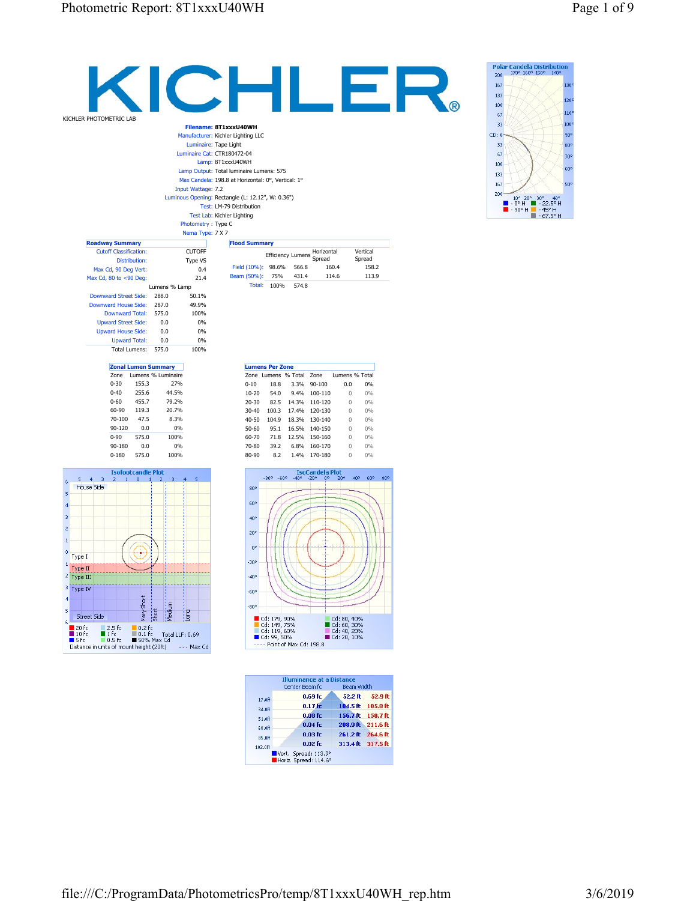0-60 455.7 79.2% 60-90 119.3 20.7% 70-100 47.5 8.3% 90-120 0.0 0% 0-90 575.0 100% 90-180 0.0 0% 0-180 575.0 100%

**Isofootcandle** 

 $\mathbf{a}$  $\overline{1}$ 

Ð

Very Short

s<br>■20 fc ■1 fc ■0.2 fc ■0.2 fc<br>■5 fc ■15 ■50.5 ■50% Max Cd<br>Distance in units of mount height (20 ft) --- Max

 $rac{1}{\sin \theta}$ 

Medium

 $\frac{1}{1000}$ 

 $\leftrightarrow$  Max Cd

 $\overline{z}$ 

 $5 - 4 - 3$ 

House Side

s

 $\overline{4}$  $\overline{\phantom{a}}$ 

 $\bar{z}$ 

 $\mathbf{1}$ 

 $\pmb{\mathfrak{o}}$ Type I

> Type II Type III

Type IV

Street Side

| KICHLER PHOTOMETRIC LAB       |      |                        |                            |                           |                                                                               |                          |       |              |          |                |
|-------------------------------|------|------------------------|----------------------------|---------------------------|-------------------------------------------------------------------------------|--------------------------|-------|--------------|----------|----------------|
|                               |      |                        |                            |                           | Filename: 8T1xxxU40WH                                                         |                          |       |              |          |                |
|                               |      |                        |                            |                           | Manufacturer: Kichler Lighting LLC                                            |                          |       |              |          |                |
|                               |      |                        |                            |                           | Luminaire: Tape Light                                                         |                          |       |              |          |                |
|                               |      |                        |                            |                           | Luminaire Cat: CTR180472-04                                                   |                          |       |              |          |                |
|                               |      |                        |                            |                           | Lamp: 8T1xxxU40WH                                                             |                          |       |              |          |                |
|                               |      |                        |                            |                           | Lamp Output: Total luminaire Lumens: 575                                      |                          |       |              |          |                |
|                               |      |                        |                            |                           | Max Candela: 198.8 at Horizontal: 0°, Vertical: 1°                            |                          |       |              |          |                |
|                               |      |                        |                            | <b>Input Wattage: 7.2</b> |                                                                               |                          |       |              |          |                |
|                               |      |                        |                            |                           | Luminous Opening: Rectangle (L: 12.12", W: 0.36")<br>Test: LM-79 Distribution |                          |       |              |          |                |
|                               |      |                        |                            |                           | Test Lab: Kichler Lighting                                                    |                          |       |              |          |                |
|                               |      |                        |                            | Photometry: Type C        |                                                                               |                          |       |              |          |                |
|                               |      |                        |                            | Nema Type: 7 X 7          |                                                                               |                          |       |              |          |                |
| <b>Roadway Summary</b>        |      |                        |                            |                           | <b>Flood Summary</b>                                                          |                          |       |              |          |                |
| <b>Cutoff Classification:</b> |      |                        |                            | <b>CUTOFF</b>             |                                                                               |                          |       | Horizontal   |          | Vertical       |
|                               |      | Distribution:          |                            | Type VS                   |                                                                               | <b>Efficiency Lumens</b> |       | Spread       |          | Spread         |
| Max Cd, 90 Deg Vert:          |      |                        |                            | 0.4                       | Field (10%): 98.6%                                                            |                          | 566.8 | 160.4        |          | 158.2          |
| Max Cd, 80 to <90 Deg:        |      |                        |                            | 21.4                      | Beam (50%):                                                                   | 75%                      | 431.4 | 114.6        |          | 113.9          |
|                               |      |                        | Lumens % Lamp              |                           |                                                                               | Total: 100%              | 574.8 |              |          |                |
| <b>Downward Street Side:</b>  |      |                        | 288.0                      | 50.1%                     |                                                                               |                          |       |              |          |                |
| Downward House Side:          |      |                        | 287.0                      | 49.9%                     |                                                                               |                          |       |              |          |                |
|                               |      | <b>Downward Total:</b> | 575.0                      | 100%                      |                                                                               |                          |       |              |          |                |
| <b>Upward Street Side:</b>    |      |                        | 0.0                        | 0%                        |                                                                               |                          |       |              |          |                |
| <b>Upward House Side:</b>     |      |                        | 0.0                        | 0%                        |                                                                               |                          |       |              |          |                |
|                               |      | <b>Upward Total:</b>   | 0.0                        | 0%                        |                                                                               |                          |       |              |          |                |
|                               |      | <b>Total Lumens:</b>   | 575.0                      | 100%                      |                                                                               |                          |       |              |          |                |
|                               |      |                        | <b>Zonal Lumen Summary</b> |                           |                                                                               | <b>Lumens Per Zone</b>   |       |              |          |                |
|                               | Zone |                        | Lumens % Luminaire         |                           |                                                                               | Zone Lumens % Total Zone |       |              |          | Lumens % Total |
| $0 - 30$                      |      | 155.3                  | 27%                        |                           | $0 - 10$                                                                      | 18.8                     |       | 3.3% 90-100  | 0.0      | 0%             |
| $0 - 40$                      |      | 255.6                  | 44.5%                      |                           | $10 - 20$                                                                     | 54.0                     |       | 9.4% 100-110 | $\Omega$ | 0%             |

20-30 82.5 14.3% 110-120 0 0% 30-40 100.3 17.4% 120-130 0 0% 40-50 104.9 18.3% 130-140 0 0% 50-60 95.1 16.5% 140-150 0 0% 60-70 71.8 12.5% 150-160 0 0% 70-80 39.2 6.8% 160-170 0 0% 80-90 8.2 1.4% 170-180 0 0%

**IsoCandela Plot**<br>-40° -20° 0° 20°

 $-80^{\circ}$   $-60^{\circ}$ 

 $80°$ 

 $60^{\circ}$ 

 $40^{\circ}$ 

 $20^{\circ}$ 

 $0^{\circ}$ 

 $-20^{\circ}$ 

 $-40^{\circ}$ 

 $-60°$ 

 $-80^{\circ}$ 

 $17.0<sub>0</sub>$ 

34.0<del>R</del>

51.0R

68.0<del>R</del>

85.0R

 $102.0{\rm \textstyle R}$ 

■ Cd: 179, 90%<br>■ Cd: 149, 75%<br>■ Cd: 119, 60%<br>■ Cd: 99, 50%<br>---- Point of Max Cd: 198.8

 $40^{\circ}$ 

Cd: 80, 40%<br>■ Cd: 60, 30%<br>■ Cd: 40, 20%<br>■ Cd: 20, 10%

52.2 ft 52.9 ft

104.5 ft 105.8 ft

156.7 ft 158.7 ft

208.9 ft 211.6 ft

261.2 ft 264.6 ft

313.4 ft 317.5 ft

Illuminance at a Distance<br>Center Beam fc Beam Width

 $0.69$  fc

 $0.17$  fc

 $0.08$  fc

 $0.04 f<sub>C</sub>$ 

 $0.03f<sub>C</sub>$ 

 $0.02$  fc

Vert. Spread: 113.9°<br>Horiz. Spread: 114.6°

 $60^{\circ}$ 



Polar Candela Distribution<br>200 170° 160° 150° 140°

 $\begin{array}{c|cccc}\n10^{\circ} & 20^{\circ} & 30^{\circ} & 40^{\circ} \\
\hline\n-0^{\circ} & 1 & -2.5^{\circ} & \text{H} \\
\hline\n-90^{\circ} & 1 & -45^{\circ} & \text{H} \\
\hline\n-67.5^{\circ} & 1 & -67.5^{\circ} & \text{H}\n\end{array}$ 

 $120$ 

110

100

90°

80°

70°

60°

50

200 167 133

100

 $\overline{67}$ 

 $33$  $CD: 0$ 

33

 $67$ 

100

133

167

 $200 -$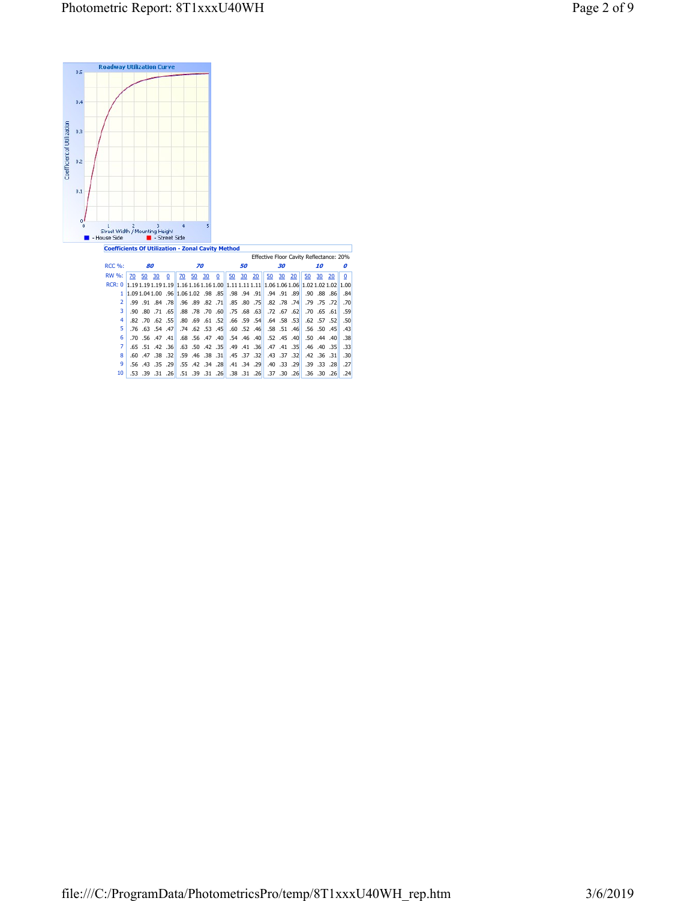

|                 |  |                         |                                                                                            |    | Ellective Floor Cavity Reliectance: 20% |    |  |  |    |  |                                                     |    |  |             |
|-----------------|--|-------------------------|--------------------------------------------------------------------------------------------|----|-----------------------------------------|----|--|--|----|--|-----------------------------------------------------|----|--|-------------|
| $RCC.$ %:       |  | 80                      |                                                                                            | 70 |                                         | 50 |  |  | 30 |  |                                                     | 10 |  | Ω           |
| RW %:           |  |                         | <u>70 50 30 0    70 50 30 0    50 30 20    50 30 20    50 30 20</u>                        |    |                                         |    |  |  |    |  |                                                     |    |  | $\mathbf 0$ |
|                 |  |                         |                                                                                            |    |                                         |    |  |  |    |  |                                                     |    |  |             |
|                 |  |                         | 1 88 88 90 90 96 98 98 98 99 99 99 99 99 99 99 90 90 90 90 01:09 1,09 04:1,00              |    |                                         |    |  |  |    |  |                                                     |    |  | .84         |
| $2^{\circ}$     |  |                         | 72, 75, 79,   74, 78, 82, 81,   75, 80, 85,   71, 82, 89, 98, 99,   78, 84, 91, 99.        |    |                                         |    |  |  |    |  |                                                     |    |  | .70         |
| 3               |  |                         | 59. [61] .55. 70. [20] .57. [62] .77. [68. 68. 75. [60] .70. 78. 78. [68. [61. 71. 80. 90. |    |                                         |    |  |  |    |  |                                                     |    |  |             |
| 4               |  |                         | 50. [52. 57. 52. 62. 55. 58. 64. [54. 59. 66. [52]. 61. 69. 80. [58. 52. 62. 70. 82.       |    |                                         |    |  |  |    |  |                                                     |    |  |             |
| 5.              |  |                         | 43]. [45. 50. 56. [46]. 51. 58. [46]. 52. 60. [45]. 53. 62. 74. [47]. 54. 63. 76.          |    |                                         |    |  |  |    |  |                                                     |    |  |             |
| 6               |  | $.70$ $.56$ $.47$ $.41$ |                                                                                            |    |                                         |    |  |  |    |  | .68 .56 .47 .40 .54 .46 .40 .52 .45 .40 .50 .44 .40 |    |  | .38         |
| 7               |  |                         | 33. [35. 40. 46. 46] [35. 41. 47. [40. 41. 49. [35] 35. 42. 50. [36. 42. 51. 55. 65.       |    |                                         |    |  |  |    |  |                                                     |    |  |             |
| 8               |  |                         | 30. 31. 36. 42. 42. 30. 37. 37. 43. 37. 37. 45. 37. 38. 46. 46. 59. 32. 38. 47. 60.        |    |                                         |    |  |  |    |  |                                                     |    |  |             |
| 9               |  |                         | 27.  28. 23. 39. 39.  29. 33. 40.  29. 34. 41.  28. 34. 42. 54. 55.  29. 35. 34. 56.       |    |                                         |    |  |  |    |  |                                                     |    |  |             |
| 10 <sup>1</sup> |  |                         | ا 26. 30. 36. 36.   26. 30. 37.   26. 31. 38.   26. 31. 99. 51.   26. 31. 39. 53.          |    |                                         |    |  |  |    |  |                                                     |    |  | .24         |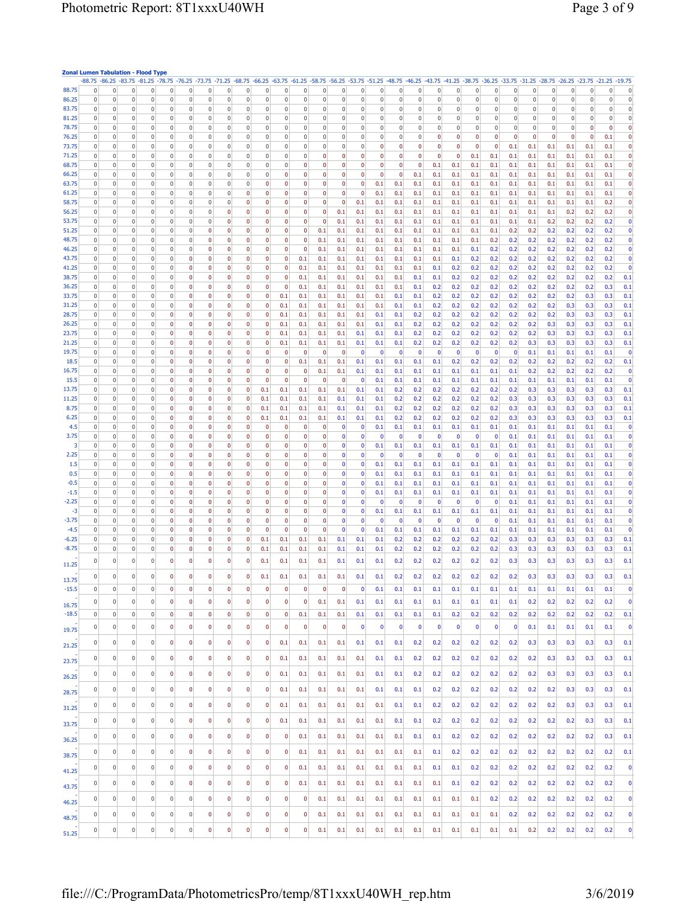|               |                | <b>Zonal Lumen Tabulation - Flood Type</b><br>-88.75 -88.25 -83.75 -81.25 -78.75 -76.25 -73.75 -71.25 -68.75 -66.25 -63.75 -61.25 -58.75 -56.25 -53.75 -51.25 -48.75 -46.25 -43.75 -41.25 -38.75 -31.25 -33.75 -31.25 -28.75 -26.25 -23.75 -21.25 -19.75 |                          |                            |                                |                |                                |                              |                |              |                         |                         |                         |                         |                         |                |                         |                |                 |                |                 |                |                |            |                |                     |                  |                  |
|---------------|----------------|----------------------------------------------------------------------------------------------------------------------------------------------------------------------------------------------------------------------------------------------------------|--------------------------|----------------------------|--------------------------------|----------------|--------------------------------|------------------------------|----------------|--------------|-------------------------|-------------------------|-------------------------|-------------------------|-------------------------|----------------|-------------------------|----------------|-----------------|----------------|-----------------|----------------|----------------|------------|----------------|---------------------|------------------|------------------|
| 88.75         | 0              | 0<br>$\overline{0}$                                                                                                                                                                                                                                      | $\mathbf 0$              | $\overline{0}$             | $\overline{0}$                 | $\overline{0}$ | $\mathbf 0$                    | 0                            | 0              | 0            | 0                       | 0                       | $\overline{0}$          | 0                       | $\overline{0}$          | $\overline{0}$ | $\mathbf 0$             | $\bf{0}$       | $\overline{0}$  | $\pmb{0}$      | 0               | $\pmb{0}$      | 0              | $\pmb{0}$  | $\pmb{0}$      | $\bf{0}$            | $\mathbf 0$      | $\boldsymbol{0}$ |
| 86.25         | 0              | 0<br>$\overline{0}$                                                                                                                                                                                                                                      | $\bf 0$                  | $\overline{0}$             | $\overline{0}$                 | 0              | $\overline{0}$                 | 0                            | 0              | 0            | 0                       | 0                       | $\mathbf 0$             | 0                       | $\overline{0}$          | $\overline{0}$ | $\pmb{0}$               | $\pmb{0}$      | $\mathbb O$     | $\mathsf{0}$   | $\mathbf 0$     | $\mathbf 0$    | $\,0\,$        | $\pmb{0}$  | $\mathbf 0$    | $\mathbf 0$         | $\mathbb O$      | $\,0\,$          |
| 83.75         | 0              | $\overline{0}$<br>$\overline{0}$                                                                                                                                                                                                                         | $\mathbf 0$              | $\overline{0}$             | $\overline{0}$                 | 0              | $\mathbf 0$                    | 0                            | 0              | 0            | 0                       | 0                       | $\mathbf 0$             | 0                       | 0                       | $\bf{0}$       | $\boldsymbol{0}$        | $\mathsf{0}$   | $\overline{0}$  | $\mathbf 0$    | 0               | $\mathbf 0$    | 0              | $\bf 0$    | $\mathbf 0$    | $\mathsf{O}\xspace$ | $\boldsymbol{0}$ | $\bf 0$          |
| 81.25         | 0              | $\pmb{0}$<br>$\vert 0 \vert$                                                                                                                                                                                                                             | $\bf{0}$                 | $\overline{0}$             | $\overline{0}$                 | $\overline{0}$ | $\vert 0 \vert$                | 0                            | $\overline{0}$ | 0            | $\overline{0}$          | 0                       | $\vert 0 \vert$         | 0                       | $\overline{0}$          | $\overline{0}$ | $\overline{0}$          | $\overline{0}$ | $\vert 0 \vert$ | $\overline{0}$ | $\vert 0 \vert$ | $\overline{0}$ | $\overline{0}$ | $\pmb{0}$  | $\overline{0}$ | $\mathsf{0}$        | $\bf 0$          | $\bf 0$          |
| 78.75         | 0              | 0<br>$\overline{0}$                                                                                                                                                                                                                                      | $\mathbf 0$              | $\overline{0}$             | $\overline{0}$                 | 0              | $\overline{0}$                 | 0                            | $\overline{0}$ | 0            | 0                       | 0                       | $\pmb{0}$               | 0                       | $\overline{0}$          | $\mathbf 0$    | $\pmb{0}$               | $\mathbf 0$    | $\overline{0}$  | $\pmb{0}$      | $\vert 0 \vert$ | $\pmb{0}$      | $\pmb{0}$      | $\pmb{0}$  | $\overline{0}$ | $\pmb{0}$           | $\mathbf 0$      | $\pmb{0}$        |
| 76.25         | 0              | $\overline{0}$<br>$\bf 0$                                                                                                                                                                                                                                | $\pmb{0}$                | $\overline{0}$             | $\overline{0}$                 | $\bf 0$        | $\overline{0}$                 | 0                            | $\overline{0}$ | 0            | 0                       | 0                       | $\pmb{0}$               | 0                       | $\overline{0}$          | $\overline{0}$ | $\bf 0$                 | $\mathbf 0$    | $\pmb{0}$       | $\mathbf 0$    | $\pmb{0}$       | $\pmb{0}$      | $\pmb{0}$      | $\pmb{0}$  | $\mathbf 0$    | $\pmb{0}$           | 0.1              | $\pmb{0}$        |
| 73.75         | 0              | $\bf{0}$<br>$\overline{0}$                                                                                                                                                                                                                               | $\mathbf 0$              | $\overline{0}$             | $\overline{0}$                 | 0              | $\overline{0}$                 | 0                            | $\overline{0}$ | 0            | 0                       | 0                       | $\overline{0}$          | 0                       | $\mathbf{0}$            | $\mathbf 0$    | $\mathbf 0$             | $\mathbf 0$    | 0               | $\pmb{0}$      | $\mathbf 0$     | 0.1            | 0.1            | 0.1        | 0.1            | 0.1                 | 0.1              | $\pmb{0}$        |
| 71.25         | $\Omega$       | $\overline{0}$<br>0                                                                                                                                                                                                                                      | $\mathbf 0$              | $\overline{0}$             | $\overline{0}$                 | 0              | $\overline{0}$                 | 0                            | $\overline{0}$ | 0            | $\mathbf{0}$            | 0                       | $\mathbf{0}$            | $\mathbf 0$             | $\mathbf{0}$            | $\overline{0}$ | $\mathbf 0$             | $\overline{0}$ | $\mathbf 0$     | 0.1            | 0.1             | 0.1            | 0.1            | 0.1        | 0.1            | 0.1                 | 0.1              | 0                |
| 68.75         | 0              | 0<br>$\overline{0}$                                                                                                                                                                                                                                      | $\mathbf 0$              | $\overline{0}$             | $\overline{0}$                 | 0              | $\mathbf 0$                    | 0                            | 0              | 0            | 0                       | 0                       | 0                       | 0                       | 0                       | $\mathbf 0$    | $\mathbf 0$             | 0.1            | 0.1             | 0.1            | 0.1             | 0.1            | 0.1            | 0.1        | 0.1            | 0.1                 | 0.1              | $\pmb{0}$        |
| 66.25         | 0              | $\overline{0}$<br>$\overline{0}$                                                                                                                                                                                                                         | $\pmb{0}$                | $\overline{0}$             | $\overline{0}$                 | $\mathsf 0$    | $\overline{0}$                 | 0                            | $\overline{0}$ | 0            | 0                       | 0                       | $\mathbf{0}$            | $\mathbf 0$             | $\mathbf 0$             | $\overline{0}$ | 0.1                     | 0.1            | 0.1             | 0.1            | 0.1             | 0.1            | 0.1            | 0.1        | 0.1            | 0.1                 | 0.1              | $\pmb{0}$        |
| 63.75         | 0              | 0<br>$\overline{0}$                                                                                                                                                                                                                                      | 0                        | $\overline{0}$             | $\overline{0}$                 | 0              | $\overline{0}$                 | 0                            | 0              | 0            | 0                       | 0                       | $\mathbf{0}$            | 0                       | 0.1                     | 0.1            | 0.1                     | 0.1            | 0.1             | 0.1            | 0.1             | 0.1            | 0.1            | 0.1        | 0.1            | 0.1                 | 0.1              | $\pmb{0}$        |
| 61.25         | $\Omega$       | $\pmb{0}$<br>$\overline{0}$                                                                                                                                                                                                                              | $\pmb{0}$                | $\overline{0}$             | $\overline{0}$                 | $\overline{0}$ | $\overline{0}$                 | $\mathbf{0}$                 | $\mathbf{0}$   | 0            | $\bf{0}$                | $\mathbf 0$             | $\overline{0}$          | $\mathbf 0$             | 0.1                     | 0.1            | 0.1                     | 0.1            | 0.1             | 0.1            | 0.1             | 0.1            | 0.1            | 0.1        | 0.1            | 0.1                 | 0.1              | $\pmb{0}$        |
| 58.75         | 0              | 0<br>$\overline{0}$                                                                                                                                                                                                                                      | 0                        | $\overline{0}$             | $\overline{0}$                 | 0              | $\mathbf 0$                    | 0                            | 0              | 0            | 0                       | 0                       | $\overline{0}$          | 0.1                     | 0.1                     | 0.1            | 0.1                     | 0.1            | 0.1             | 0.1            | 0.1             | 0.1            | 0.1            | 0.1        | 0.1            | 0.1                 | 0.2              | $\pmb{0}$        |
| 56.25         | 0              | $\bf{0}$<br>$\overline{0}$                                                                                                                                                                                                                               | $\mathbf 0$              | $\overline{0}$             | $\overline{0}$                 | 0              | $\mathbf 0$                    | 0                            | 0              | 0            | 0                       | 0                       | 0.1                     | 0.1                     | 0.1                     | 0.1            | 0.1                     | 0.1            | 0.1             | 0.1            | 0.1             | 0.1            | 0.1            | 0.1        | 0.2            | 0.2                 | 0.2              | $\pmb{0}$        |
| 53.75         | 0              | $\overline{0}$<br>$\overline{0}$                                                                                                                                                                                                                         | $\pmb{0}$                | $\overline{0}$             | $\overline{0}$                 | 0              | $\mathbf{0}$                   | $\mathbf{0}$                 | $\mathbf{0}$   | 0            | $\bf{0}$                | $\overline{\mathbf{0}}$ | 0.1                     | 0.1                     | 0.1                     | 0.1            | 0.1                     | 0.1            | 0.1             | 0.1            | 0.1             | 0.1            | 0.1            | 0.2        | 0.2            | 0.2                 | 0.2              | $\pmb{0}$        |
| 51.25         | $\Omega$       | $\overline{0}$<br>$\overline{0}$                                                                                                                                                                                                                         | $\overline{0}$           | $\overline{0}$             | $\overline{0}$                 | 0              | $\mathbf{0}$                   | $\mathbf{0}$                 | $\overline{0}$ | $\mathbf{0}$ | $\mathbf{0}$            | 0.1                     | 0.1                     | 0.1                     | 0.1                     | 0.1            | 0.1                     | 0.1            | 0.1             | 0.1            | 0.1             | 0.2            | 0.2            | 0.2        | 0.2            | 0.2                 | 0.2              | $\bf{0}$         |
| 48.75         | 0              | 0<br>$\overline{0}$                                                                                                                                                                                                                                      | $\pmb{0}$                | $\overline{0}$             | $\overline{0}$                 | 0              | 0                              | 0                            | 0              | 0            | 0                       | 0.1                     | 0.1                     | 0.1                     | 0.1                     | 0.1            | 0.1                     | 0.1            | 0.1             | 0.1            | 0.2             | 0.2            | 0.2            | 0.2        | 0.2            | 0.2                 | 0.2              | $\pmb{0}$        |
| 46.25         | $\Omega$       | $\bf 0$<br>$\bf{0}$                                                                                                                                                                                                                                      | $\bf 0$                  | $\mathbf{0}$               | $\overline{0}$                 | $\mathbf 0$    | $\mathbf{0}$                   | 0                            | $\overline{0}$ | $\pmb{0}$    | $\mathbf 0$             | 0.1                     | 0.1                     | 0.1                     | 0.1                     | 0.1            | 0.1                     | 0.1            | 0.1             | 0.1            | 0.2             | 0.2            | 0.2            | 0.2        | 0.2            | 0.2                 | 0.2              | $\pmb{0}$        |
| 43.75         | 0              | $\overline{0}$<br>$\vert 0 \vert$                                                                                                                                                                                                                        | $\pmb{0}$                | $\overline{0}$             | $\overline{0}$                 | 0              | $\mathbf{0}$                   | 0                            | $\mathbf{0}$   | $\mathbf 0$  | 0.1                     | 0.1                     | 0.1                     | 0.1                     | 0.1                     | 0.1            | 0.1                     | 0.1            | 0.1             | 0.2            | 0.2             | 0.2            | 0.2            | 0.2        | 0.2            | 0.2                 | 0.2              | $\pmb{0}$        |
| 41.25         | $\Omega$       | $\overline{0}$<br>0                                                                                                                                                                                                                                      | $\mathbf 0$              | $\overline{0}$             | $\mathbf{0}$                   | 0              | $\mathbf{0}$                   | 0                            | $\overline{0}$ | 0            | 0.1                     | 0.1                     | 0.1                     | 0.1                     | 0.1                     | 0.1            | 0.1                     | 0.1            | 0.2             | 0.2            | 0.2             | 0.2            | 0.2            | 0.2        | 0.2            | 0.2                 | 0.2              | $\pmb{0}$        |
| 38.75         | 0              | $\overline{0}$<br>$\overline{0}$                                                                                                                                                                                                                         | $\pmb{0}$                | $\overline{0}$             | $\overline{0}$                 | 0              | $\overline{0}$                 | 0                            | $\mathbf{0}$   | 0            | 0.1                     | 0.1                     | 0.1                     | 0.1                     | 0.1                     | 0.1            | 0.1                     | 0.1            | 0.2             | 0.2            | 0.2             | 0.2            | 0.2            | 0.2        | 0.2            | 0.2                 | 0.2              | 0.1              |
| 36.25         | 0              | $\bf 0$<br>$\bf{0}$                                                                                                                                                                                                                                      | $\mathbf 0$              | $\overline{0}$             | $\mathbf{0}$                   | 0              | $\mathbf 0$                    | 0                            | $\overline{0}$ | $\pmb{0}$    | 0.1                     | 0.1                     | 0.1                     | 0.1                     | 0.1                     | 0.1            | 0.1                     | 0.2            | 0.2             | 0.2            | 0.2             | 0.2            | 0.2            | 0.2        | 0.2            | 0.2                 | 0.3              | 0.1              |
| 33.75         | 0              | $\overline{0}$<br>0                                                                                                                                                                                                                                      | $\bf{0}$                 | $\overline{0}$             | $\mathbf{0}$                   | 0              | $\mathbf{0}$                   | $\mathbf{0}$                 | 0              | 0.1          | 0.1                     | 0.1                     | 0.1                     | 0.1                     | 0.1                     | 0.1            | 0.1                     | 0.2            | 0.2             | 0.2            | 0.2             | 0.2            | 0.2            | 0.2        | 0.2            | 0.3                 | 0.3              | 0.1              |
| 31.25         | 0              | 0<br>$\overline{0}$                                                                                                                                                                                                                                      | $\mathbf 0$              | $\overline{0}$             | $\mathbf{0}$                   | 0              | $\mathbf{0}$                   | 0                            | $\overline{0}$ | 0.1          | 0.1                     | 0.1                     | 0.1                     | 0.1                     | 0.1                     | 0.1            | 0.1                     | 0.2            | 0.2             | 0.2            | 0.2             | 0.2            | 0.2            | 0.2        | 0.3            | 0.3                 | 0.3              | 0.1              |
| 28.75         | 0              | $\bf 0$<br>0                                                                                                                                                                                                                                             | $\pmb{0}$                | $\mathbf 0$                | $\pmb{0}$                      | 0              | 0                              | 0                            | $\mathbf{0}$   | 0.1          | 0.1                     | 0.1                     | 0.1                     | 0.1                     | 0.1                     | 0.1            | 0.2                     | 0.2            | 0.2             | 0.2            | 0.2             | 0.2            | 0.2            | 0.2        | 0.3            | 0.3                 | 0.3              | 0.1              |
| 26.25         | 0              | $\bf{0}$<br>$\overline{0}$                                                                                                                                                                                                                               | $\mathbf 0$              | $\mathbf 0$                | $\mathbf{0}$                   | 0              | $\mathbf 0$                    | 0                            | $\mathbf{0}$   | 0.1          | 0.1                     | 0.1                     | 0.1                     | 0.1                     | 0.1                     | 0.1            | 0.2                     | 0.2            | 0.2             | 0.2            | 0.2             | 0.2            | 0.2            | 0.3        | 0.3            | 0.3                 | 0.3              | 0.1              |
| 23.75         | 0              | $\pmb{0}$<br>$\vert 0 \vert$                                                                                                                                                                                                                             | $\pmb{0}$                | $\mathbf{0}$               | $\mathbf{0}$                   | 0              | $\mathbf{0}$                   | $\mathbf{0}$                 | $\mathbf{0}$   | 0.1          | 0.1                     | 0.1                     | 0.1                     | 0.1                     | 0.1                     | 0.1            | 0.2                     | 0.2            | 0.2             | 0.2            | 0.2             | 0.2            | 0.2            | 0.3        | 0.3            | 0.3                 | 0.3              | 0.1              |
| 21.25         | 0              | $\bf{0}$<br>$\overline{0}$                                                                                                                                                                                                                               | $\mathbf 0$              | $\mathbf 0$                | $\mathbf{0}$                   | 0              | $\mathbf 0$                    | 0                            | $\overline{0}$ | 0.1          | 0.1                     | 0.1                     | 0.1                     | 0.1                     | 0.1                     | 0.1            | 0.2                     | 0.2            | 0.2             | 0.2            | 0.2             | 0.2            | 0.3            | 0.3        | 0.3            | 0.3                 | 0.3              | 0.1              |
| 19.75         | 0              | $\overline{0}$<br>$\overline{0}$                                                                                                                                                                                                                         | $\pmb{0}$                | $\mathbf 0$                | $\overline{0}$                 | 0              | 0                              | $\mathbf{0}$                 | $\mathbf{0}$   | $\mathbf 0$  | $\overline{\mathbf{0}}$ | $\mathbf 0$             | $\overline{\mathbf{0}}$ | $\mathbf 0$             | $\mathbf 0$             | 0              | $\overline{\mathbf{0}}$ | $\overline{0}$ | 0               | $\bullet$      | 0               | $\mathbf{0}$   | 0.1            | 0.1        | 0.1            | 0.1                 | 0.1              | $\pmb{0}$        |
| 18.5          | 0              | 0<br>$\overline{0}$                                                                                                                                                                                                                                      | $\mathbf 0$              | $\mathbf 0$                | $\bf{0}$                       | $\mathbf 0$    | $\mathbf 0$                    | 0                            | 0              | 0            | 0.1                     | $0.1\,$                 | 0.1                     | 0.1                     | 0.1                     | 0.1            | 0.1                     | 0.1            | 0.2             | 0.2            | 0.2             | 0.2            | 0.2            | 0.2        | 0.2            | 0.2                 | 0.2              | 0.1              |
| 16.75         | 0              | $\overline{0}$<br>$\overline{0}$                                                                                                                                                                                                                         | $\pmb{0}$                | $\mathbf 0$                | $\overline{0}$                 | 0              | $\overline{0}$                 | $\mathbf{0}$                 | $\overline{0}$ | $\mathbf 0$  | $\mathbf 0$             | 0.1                     | 0.1                     | 0.1                     | 0.1                     | 0.1            | 0.1                     | 0.1            | 0.1             | 0.1            | 0.1             | 0.1            | 0.2            | 0.2        | 0.2            | 0.2                 | 0.2              | $\pmb{0}$        |
| 15.5          | 0              | 0<br>$\overline{0}$                                                                                                                                                                                                                                      | 0                        | $\bf{0}$                   | $\mathbf{0}$                   | 0              | $\mathbf 0$                    | 0                            | $\mathbf 0$    | 0            | $\mathbf 0$             | 0                       | $\mathbf 0$             | $\mathbf{0}$            | 0.1                     | 0.1            | 0.1                     | 0.1            | 0.1             | 0.1            | 0.1             | 0.1            | 0.1            | 0.1        | 0.1            | 0.1                 | 0.1              | $\pmb{0}$        |
| 13.75         | 0              | 0<br>$\overline{0}$                                                                                                                                                                                                                                      | $\pmb{0}$                | $\mathbf 0$                | $\overline{0}$                 | 0              | $\overline{0}$                 | $\mathbf{0}$                 | 0.1            | 0.1          | 0.1                     | 0.1                     | 0.1                     | 0.1                     | 0.1                     | 0.2            | 0.2                     | 0.2            | 0.2             | 0.2            | 0.2             | 0.2            | 0.3            | 0.3        | 0.3            | 0.3                 | 0.3              | 0.1              |
| 11.25<br>8.75 | 0<br>$\Omega$  | $\overline{0}$<br>$\overline{0}$<br>0<br>$\overline{0}$                                                                                                                                                                                                  | $\pmb{0}$<br>$\mathbf 0$ | $\mathbf 0$<br>$\mathbf 0$ | $\overline{0}$<br>$\mathbf{0}$ | $\pmb{0}$<br>0 | $\overline{0}$<br>$\mathbf{0}$ | $\mathbf{0}$<br>$\mathbf{0}$ | 0.1<br>0.1     | 0.1<br>0.1   | 0.1<br>0.1              | 0.1<br>0.1              | 0.1<br>0.1              | 0.1<br>0.1              | 0.1<br>0.1              | 0.2<br>0.2     | 0.2<br>0.2              | 0.2<br>0.2     | 0.2<br>0.2      | 0.2<br>0.2     | 0.2<br>0.2      | 0.3<br>0.3     | 0.3<br>0.3     | 0.3<br>0.3 | 0.3<br>0.3     | 0.3<br>0.3          | 0.3<br>0.3       | 0.1<br>0.1       |
| 6.25          | 0              | $\overline{0}$<br>0                                                                                                                                                                                                                                      | $\pmb{0}$                | $\mathbf 0$                | $\mathbf{0}$                   | 0              | $\mathbf 0$                    | $\mathbf{0}$                 | 0.1            | 0.1          | 0.1                     | 0.1                     | 0.1                     | 0.1                     | 0.1                     | 0.2            | 0.2                     | 0.2            | 0.2             | 0.2            | 0.2             | 0.3            | 0.3            | 0.3        | 0.3            | 0.3                 | 0.3              | 0.1              |
| 4.5           | 0              | $\bf{0}$<br>$\overline{0}$                                                                                                                                                                                                                               | $\mathbf 0$              | $\mathbf 0$                | $\mathbf{0}$                   | $\pmb{0}$      | $\mathbf 0$                    | 0                            | $\mathbf 0$    | $\pmb{0}$    | $\mathbf 0$             | 0                       | $\mathbf 0$             | $\mathbf 0$             | 0.1                     | 0.1            | 0.1                     | 0.1            | 0.1             | 0.1            | 0.1             | 0.1            | 0.1            | 0.1        | 0.1            | 0.1                 | 0.1              | $\pmb{0}$        |
| 3.75          | 0              | $\overline{0}$<br>$\overline{0}$                                                                                                                                                                                                                         | $\mathbf 0$              | $\mathbf 0$                | $\mathbf{0}$                   | 0              | $\mathbf{0}$                   | 0                            | $\overline{0}$ | 0            | 0                       | 0                       | 0                       | $\mathbf 0$             | $\overline{\mathbf{0}}$ | $\overline{0}$ | $\mathbf 0$             | $\mathbf{0}$   | 0               | $\mathbf{0}$   | $\mathbf{0}$    | 0.1            | 0.1            | 0.1        | 0.1            | 0.1                 | 0.1              | $\pmb{0}$        |
| -3            | 0              | $\overline{0}$<br>0                                                                                                                                                                                                                                      | $\pmb{0}$                | $\mathbf 0$                | $\overline{0}$                 | 0              | $\overline{0}$                 | $\mathbf{0}$                 | $\overline{0}$ | 0            | 0                       | 0                       | $\overline{\mathbf{0}}$ | $\overline{\mathbf{0}}$ | 0.1                     | 0.1            | 0.1                     | 0.1            | 0.1             | 0.1            | 0.1             | 0.1            | 0.1            | 0.1        | 0.1            | 0.1                 | 0.1              | $\pmb{0}$        |
| 2.25          | 0              | $\overline{0}$<br>$\overline{0}$                                                                                                                                                                                                                         | $\mathbf 0$              | $\mathbf 0$                | $\mathbf{0}$                   | 0              | $\mathbf{0}$                   | 0                            | $\mathbf{0}$   | 0            | 0                       | 0                       | $\mathbf{0}$            | $\mathbf 0$             | $\mathbf{0}$            | $\overline{0}$ | $\mathbf 0$             | $\mathbf{0}$   | 0               | $\bullet$      | 0               | 0.1            | 0.1            | 0.1        | 0.1            | 0.1                 | 0.1              | $\pmb{0}$        |
| 1.5           | 0              | $\bf{0}$<br>$\overline{0}$                                                                                                                                                                                                                               | $\mathbf 0$              | $\mathbf 0$                | $\mathbf{0}$                   | $\mathbf 0$    | $\mathbf 0$                    | 0                            | $\mathbf 0$    | 0            | 0                       | 0                       | $\mathbf{0}$            | $\mathbf{0}$            | 0.1                     | 0.1            | 0.1                     | 0.1            | 0.1             | 0.1            | 0.1             | 0.1            | 0.1            | 0.1        | 0.1            | 0.1                 | 0.1              | $\pmb{0}$        |
| 0.5           | 0              | $\overline{0}$<br>$\overline{0}$                                                                                                                                                                                                                         | $\pmb{0}$                | $\mathbf 0$                | $\overline{0}$                 | 0              | $\overline{0}$                 | 0                            | $\overline{0}$ | 0            | 0                       | 0                       | 0                       | $\mathbf{0}$            | 0.1                     | 0.1            | 0.1                     | 0.1            | 0.1             | 0.1            | 0.1             | 0.1            | 0.1            | 0.1        | 0.1            | 0.1                 | 0.1              | $\pmb{0}$        |
| $-0.5$        | 0              | $\overline{0}$<br>$\overline{0}$                                                                                                                                                                                                                         | $\mathbf 0$              | $\mathbf{0}$               | $\mathbf{0}$                   | 0              | $\mathbf{0}$                   | 0                            | $\mathbf{0}$   | 0            | $\mathbf{0}$            | 0                       | $\mathbf{0}$            | $\overline{\mathbf{0}}$ | 0.1                     | 0.1            | 0.1                     | 0.1            | 0.1             | 0.1            | 0.1             | 0.1            | 0.1            | 0.1        | 0.1            | 0.1                 | 0.1              | $\mathbf 0$      |
| $-1.5$        | 0              | $\overline{0}$<br>$\overline{0}$                                                                                                                                                                                                                         | $\mathbf 0$              | $\mathbf 0$                | $\mathbf{0}$                   | $\mathbf 0$    | $\mathbf{0}$                   | $\mathbf{0}$                 | $\overline{0}$ | 0            | 0                       | 0                       | 0                       | $\mathbf{0}$            | 0.1                     | 0.1            | 0.1                     | 0.1            | 0.1             | 0.1            | 0.1             | 0.1            | 0.1            | 0.1        | 0.1            | 0.1                 | 0.1              | $\pmb{0}$        |
| $-2.25$       | 0              | $\pmb{0}$<br>$\overline{0}$                                                                                                                                                                                                                              | $\pmb{0}$                | $\mathbf 0$                | $\mathbf{0}$                   | 0              | 0                              | 0                            | 0              | 0            | 0                       | 0                       | $\mathbf 0$             | $\mathbf 0$             | $\mathbf 0$             | $\mathbf 0$    | $\mathbf 0$             | $\bf{0}$       | $\mathbf{0}$    | $\pmb{0}$      | $\mathbf 0$     | 0.1            | 0.1            | 0.1        | 0.1            | 0.1                 | 0.1              | $\pmb{0}$        |
| $-3$          | 0              | $\overline{0}$<br>$\vert 0 \vert$                                                                                                                                                                                                                        | $\mathbf 0$              | $\mathbf{0}$               | $\mathbf{0}$                   | 0              | $\mathbf{0}$                   | 0                            | $\mathbf{0}$   | 0            | 0                       | 0                       | 0                       | $\mathbf 0$             | 0.1                     | 0.1            | 0.1                     | 0.1            | 0.1             | 0.1            | 0.1             | 0.1            | 0.1            | 0.1        | 0.1            | 0.1                 | 0.1              | $\pmb{0}$        |
| $-3.75$       | 0              | $\bf{0}$<br>$\overline{0}$                                                                                                                                                                                                                               | $\mathbf 0$              | $\mathbf 0$                | $\mathbf{0}$                   | 0              | $\mathbf 0$                    | 0                            | $\overline{0}$ | 0            | 0                       | 0                       | $\overline{\mathbf{0}}$ | $\mathbf 0$             | $\mathbf 0$             | 0              | $\mathbf 0$             | $\mathbf{0}$   | $\mathbf 0$     | $\mathbf{0}$   | 0               | 0.1            | 0.1            | 0.1        | 0.1            | 0.1                 | 0.1              | $\pmb{0}$        |
| $-4.5$        | 0              | 0<br>$\overline{0}$                                                                                                                                                                                                                                      | $\pmb{0}$                | $\mathbf 0$                | $\mathbf{0}$                   | 0              | 0                              | 0                            | $\mathbf 0$    | 0            | $\mathbf 0$             | 0                       | $\overline{\mathbf{0}}$ | $\mathbf 0$             | 0.1                     | 0.1            | 0.1                     | 0.1            | 0.1             | 0.1            | 0.1             | 0.1            | 0.1            | 0.1        | 0.1            | 0.1                 | 0.1              | $\pmb{0}$        |
| $-6.25$       | 0              | 0<br>0                                                                                                                                                                                                                                                   | $\mathbf 0$              | $\mathbf 0$                | $\mathbf 0$                    | $\mathbf 0$    | $\mathbf 0$                    | 0                            | 0.1            | 0.1          | 0.1                     | 0.1                     | 0.1                     | 0.1                     | 0.1                     | 0.2            | 0.2                     | 0.2            | 0.2             | 0.2            | 0.2             | 0.3            | 0.3            | 0.3        | 0.3            | 0.3                 | 0.3              | 0.1              |
| $-8.75$       | 0              | $\overline{0}$<br>0                                                                                                                                                                                                                                      | $\pmb{0}$                | $\mathbf 0$                | $\overline{0}$                 | 0              | $\mathbf{0}$                   | $\mathbf{0}$                 | 0.1            | 0.1          | 0.1                     | 0.1                     | 0.1                     | 0.1                     | 0.1                     | 0.2            | 0.2                     | 0.2            | 0.2             | 0.2            | 0.2             | 0.3            | 0.3            | 0.3        | 0.3            | 0.3                 | 0.3              | 0.1              |
| 11.25         | 0              | 0<br>0                                                                                                                                                                                                                                                   | 0                        | 0                          | 0                              | 0              | 0                              | 0                            | 0.1            | 0.1          | 0.1                     | 0.1                     | 0.1                     | 0.1                     | 0.1                     | 0.2            | 0.2                     | 0.2            | 0.2             | 0.2            | 0.2             | 0.3            | 0.3            | 0.3        | 0.3            | 0.3                 | 0.3              | 0.1              |
| 13.75         | 0              | $\mathbf{0}$<br>$\overline{0}$                                                                                                                                                                                                                           | $\mathbf{0}$             | $\Omega$                   | $\mathbf{0}$                   | $\mathbf{0}$   | $\mathbf{0}$                   | $\Omega$                     | 0.1            | 0.1          | 0.1                     | 0.1                     | 0.1                     | 0.1                     | 0.1                     | 0.2            | 0.2                     | 0.2            | 0.2             | 0.2            | 0.2             | 0.2            | 0.3            | 0.3        | 0.3            | 0.3                 | 0.3              | 0.1              |
| $-15.5$       | 0              | 0<br>$\overline{0}$                                                                                                                                                                                                                                      | $\mathbf 0$              | $\mathbf{0}$               | $\mathbf{0}$                   | 0              | $\mathbf{0}$                   | 0                            | $\mathbf{0}$   | 0            | 0                       | 0                       | $\mathbf{0}$            | $\mathbf 0$             | 0.1                     | 0.1            | 0.1                     | 0.1            | 0.1             | 0.1            | 0.1             | 0.1            | 0.1            | 0.1        | 0.1            | 0.1                 | 0.1              | 0                |
| 16.75         | 0              | 0<br>0                                                                                                                                                                                                                                                   | 0                        | 0                          | 0                              | 0              | 0                              | 0                            | 0              | 0            | 0                       | 0.1                     | 0.1                     | 0.1                     | 0.1                     | 0.1            | 0.1                     | 0.1            | 0.1             | 0.1            | 0.1             | 0.1            | 0.2            | 0.2        | 0.2            | 0.2                 | 0.2              | $\bf{0}$         |
| $-18.5$       | $\overline{0}$ | 0<br>$\overline{0}$                                                                                                                                                                                                                                      | $\mathbf 0$              | $\mathbf{0}$               | $\mathbf{0}$                   | 0              | $\mathbf{0}$                   | 0                            | $\mathbf{0}$   | $\mathbf{0}$ | 0.1                     | 0.1                     | 0.1                     | 0.1                     | 0.1                     | 0.1            | 0.1                     | 0.1            | 0.2             | 0.2            | 0.2             | 0.2            | 0.2            | 0.2        | 0.2            | 0.2                 | 0.2              | 0.1              |
|               | 0              | $\overline{0}$<br>0                                                                                                                                                                                                                                      | $\mathbf 0$              | $\mathbf{0}$               | $\mathbf{0}$                   | 0              | $\mathbf{0}$                   | 0                            | $\mathbf{0}$   | 0            | $\mathbf 0$             | $\mathbf 0$             | $\mathbf 0$             | $\mathbf 0$             | $\mathbf 0$             | 0              | $\mathbf 0$             | $\mathbf 0$    | $\mathbf{0}$    | $\mathbf 0$    | 0               | $\mathbf 0$    | 0.1            | 0.1        | 0.1            | 0.1                 | 0.1              | $\bf{0}$         |
| 19.75         |                |                                                                                                                                                                                                                                                          |                          |                            |                                |                |                                |                              |                |              |                         |                         |                         |                         |                         |                |                         |                |                 |                |                 |                |                |            |                |                     |                  |                  |
| 21.25         | 0              | 0<br>$\overline{0}$                                                                                                                                                                                                                                      | $\mathbf 0$              | $\mathbf{0}$               | $\mathbf{0}$                   | 0              | $\overline{0}$                 | 0                            | $\overline{0}$ | 0.1          | 0.1                     | 0.1                     | 0.1                     | 0.1                     | 0.1                     | 0.1            | 0.2                     | 0.2            | 0.2             | 0.2            | 0.2             | 0.2            | 0.3            | 0.3        | 0.3            | 0.3                 | 0.3              | 0.1              |
| 23.75         | 0              | 0<br>$\overline{0}$                                                                                                                                                                                                                                      | $\mathbf 0$              | 0                          | $\mathbf{0}$                   | 0              | $\mathbf 0$                    | 0                            | 0              | 0.1          | 0.1                     | 0.1                     | 0.1                     | 0.1                     | 0.1                     | 0.1            | 0.2                     | 0.2            | 0.2             | 0.2            | 0.2             | 0.2            | 0.2            | 0.3        | 0.3            | 0.3                 | 0.3              | 0.1              |
| 26.25         | 0              | 0<br>$\overline{0}$                                                                                                                                                                                                                                      | $\mathbf 0$              | $\mathbf{0}$               | 0                              | 0              | $\mathbf 0$                    | 0                            | 0              | 0.1          | 0.1                     | 0.1                     | 0.1                     | 0.1                     | 0.1                     | 0.1            | 0.2                     | 0.2            | 0.2             | 0.2            | 0.2             | 0.2            | 0.2            | 0.3        | 0.3            | 0.3                 | 0.3              | 0.1              |
| 28.75         | 0              | 0<br>$\overline{0}$                                                                                                                                                                                                                                      | $\mathbf 0$              | $\mathbf{0}$               | $\mathbf 0$                    | 0              | $\mathbf 0$                    | 0                            | 0              | 0.1          | 0.1                     | 0.1                     | 0.1                     | 0.1                     | 0.1                     | 0.1            | 0.1                     | 0.2            | 0.2             | 0.2            | 0.2             | 0.2            | 0.2            | 0.2        | 0.3            | 0.3                 | 0.3              | 0.1              |
| 31.25         | 0              | 0<br>$\overline{0}$                                                                                                                                                                                                                                      | $\mathbf 0$              | $\overline{0}$             | $\mathbf{0}$                   | 0              | $\mathbf{0}$                   | 0                            | $\overline{0}$ | 0.1          | 0.1                     | 0.1                     | 0.1                     | 0.1                     | 0.1                     | 0.1            | 0.1                     | 0.2            | 0.2             | 0.2            | 0.2             | 0.2            | 0.2            | 0.2        | 0.3            | 0.3                 | 0.3              | 0.1              |
| 33.75         | 0              | 0<br>$\overline{0}$                                                                                                                                                                                                                                      | $\mathbf 0$              | $\overline{0}$             | $\mathbf{0}$                   | 0              | $\mathbf 0$                    | 0                            | $\mathbf{0}$   | 0.1          | 0.1                     | 0.1                     | 0.1                     | 0.1                     | 0.1                     | 0.1            | 0.1                     | 0.2            | 0.2             | 0.2            | 0.2             | 0.2            | 0.2            | 0.2        | 0.2            | 0.3                 | 0.3              | 0.1              |
| 36.25         | 0              | 0<br>$\overline{0}$                                                                                                                                                                                                                                      | $\mathbf 0$              | $\overline{0}$             | $\mathbf{0}$                   | $\mathbf 0$    | $\mathbf{0}$                   | $\mathbf{0}$                 | 0              | $\mathbf{0}$ | 0.1                     | 0.1                     | 0.1                     | 0.1                     | 0.1                     | 0.1            | 0.1                     | 0.1            | 0.2             | 0.2            | 0.2             | 0.2            | 0.2            | 0.2        | 0.2            | 0.2                 | 0.3              | 0.1              |
|               | 0              | 0<br>$\overline{0}$                                                                                                                                                                                                                                      | $\mathbf 0$              | 0                          | $\mathbf{0}$                   | 0              | $\mathbf 0$                    | 0                            | 0              | 0            | 0.1                     | 0.1                     | 0.1                     | 0.1                     | 0.1                     | 0.1            | 0.1                     | 0.1            | 0.2             | 0.2            | 0.2             | 0.2            | 0.2            | 0.2        | 0.2            | 0.2                 | 0.2              | 0.1              |
| 38.75         | 0              | 0<br>$\overline{0}$                                                                                                                                                                                                                                      | $\mathbf 0$              | $\overline{0}$             | $\mathbf{0}$                   | 0              | $\mathbf 0$                    | 0                            | 0              | 0            | 0.1                     | 0.1                     | 0.1                     | 0.1                     | 0.1                     | 0.1            | 0.1                     | 0.1            | 0.1             | 0.2            | 0.2             | 0.2            | 0.2            | 0.2        | 0.2            | 0.2                 | 0.2              | $\bf{0}$         |
| 41.25         | 0              | 0<br>$\overline{0}$                                                                                                                                                                                                                                      | $\mathbf 0$              | $\overline{0}$             | 0                              | 0              | $\mathbf 0$                    | 0                            | 0              | 0            | 0.1                     | 0.1                     | 0.1                     | 0.1                     | 0.1                     | 0.1            | 0.1                     | 0.1            | 0.1             | 0.2            | 0.2             | 0.2            | 0.2            | 0.2        | 0.2            | 0.2                 | 0.2              | $\mathbf 0$      |
| 43.75         | 0              | 0<br>$\overline{0}$                                                                                                                                                                                                                                      | $\mathbf 0$              | $\overline{0}$             | $\overline{0}$                 | 0              | $\mathbf 0$                    | 0                            | 0              | 0            | $\mathbf 0$             | 0.1                     | 0.1                     | 0.1                     | 0.1                     | 0.1            | 0.1                     | 0.1            | 0.1             | 0.1            | 0.2             | 0.2            | 0.2            | 0.2        | 0.2            | 0.2                 | 0.2              | $\bf{0}$         |
| 46.25         | 0              | 0<br>$\overline{0}$                                                                                                                                                                                                                                      | $\mathbf 0$              | $\overline{0}$             | $\overline{0}$                 | 0              | $\mathbf 0$                    | 0                            | 0              | 0            | 0                       | 0.1                     | 0.1                     | 0.1                     | 0.1                     | 0.1            | 0.1                     | 0.1            | 0.1             | 0.1            | 0.1             | 0.2            | 0.2            | 0.2        | 0.2            | 0.2                 | 0.2              | $\bf{0}$         |
| 48.75         | 0              | $\overline{0}$<br>0                                                                                                                                                                                                                                      | 0                        | $\overline{0}$             | $\mathbf 0$                    | $\pmb{0}$      | $\mathbf 0$                    | 0                            | 0              | 0            | 0                       | 0.1                     | 0.1                     | 0.1                     | 0.1                     | 0.1            | 0.1                     | 0.1            | 0.1             | 0.1            | 0.1             | 0.1            | 0.2            | 0.2        | 0.2            | 0.2                 | 0.2              | $\pmb{0}$        |
| 51.25         |                |                                                                                                                                                                                                                                                          |                          |                            |                                |                |                                |                              |                |              |                         |                         |                         |                         |                         |                |                         |                |                 |                |                 |                |                |            |                |                     |                  |                  |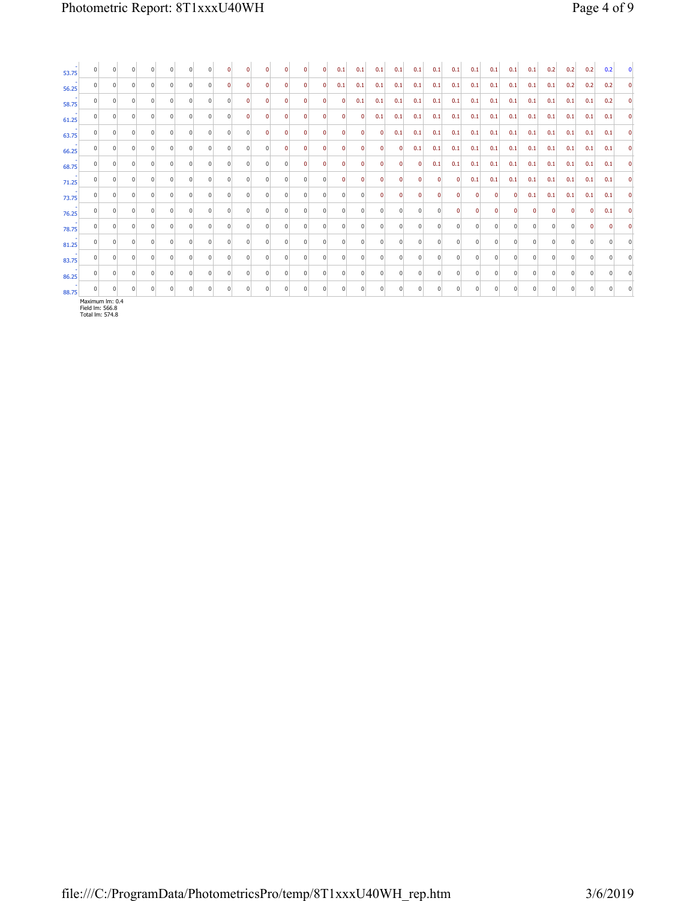| 53.75 | $\overline{0}$  |            |                |            |                |                |            |                |            |          |          | $\Omega$       | 0        | 0.1            | 0.1         | 0.1            | 0.1      | 0.1          | 0.1          | 0.1            | 0.1         | 0.1      | 0.1            | 0.1            | 0.2            | 0.2         | 0.2          | 0.2      |          |
|-------|-----------------|------------|----------------|------------|----------------|----------------|------------|----------------|------------|----------|----------|----------------|----------|----------------|-------------|----------------|----------|--------------|--------------|----------------|-------------|----------|----------------|----------------|----------------|-------------|--------------|----------|----------|
| 56.25 |                 |            |                |            |                |                |            | $\Omega$       |            |          |          | $\Omega$       |          | 0.1            | 0.1         | 0.1            | 0.1      | 0.1          | 0.1          | 0.1            | 0.1         | 0.1      | 0.1            | 0.1            | 0.1            | 0.2         | 0.2          | 0.2      | $\Omega$ |
| 58.75 | $\Omega$        |            | $\Omega$       | $\Omega$   | $\Omega$       | $\Omega$       | $\Omega$   | $\overline{0}$ | $\Omega$   | $\Omega$ | $\Omega$ | $\mathbf{0}$   | $\Omega$ | $\mathbf 0$    | 0.1         | 0.1            | 0.1      | 0.1          | 0.1          | 0.1            | 0.1         | 0.1      | 0.1            | 0.1            | 0.1            | 0.1         | 0.1          | 0.2      | n        |
| 61.25 | $\overline{0}$  | $^{\circ}$ | 0              | 0          | 0              | $\overline{0}$ | $\Omega$   | $\overline{0}$ | $\Omega$   | 0        | $\Omega$ | $\mathbf 0$    | $\Omega$ | $\mathbf{0}$   | $\mathbf 0$ | 0.1            | 0.1      | 0.1          | 0.1          | 0.1            | 0.1         | 0.1      | 0.1            | 0.1            | 0.1            | 0.1         | 0.1          | 0.1      |          |
| 63.75 | 0               |            | 0              | 0          | 0              |                | $\Omega$   | $\overline{0}$ | 0          |          | $\Omega$ | $\mathbf{0}$   | 0        | 0              | 0           | $\mathbf{0}$   | 0.1      | 0.1          | 0.1          | 0.1            | 0.1         | 0.1      | 0.1            | 0.1            | 0.1            | 0.1         | 0.1          | 0.1      | $\Omega$ |
| 66.25 | $\mathbf{0}$    |            | 0              | $^{\circ}$ | 0              | $\Omega$       | $^{\circ}$ | 0              | $^{\circ}$ | $\Omega$ | 0        | $\mathbf 0$    | $\Omega$ | $\Omega$       | 0           | $\mathbf{0}$   | $\Omega$ | 0.1          | 0.1          | 0.1            | 0.1         | 0.1      | 0.1            | 0.1            | 0.1            | 0.1         | 0.1          | 0.1      |          |
| 68.75 | 0               | $\Omega$   | $\Omega$       | $\Omega$   | $\Omega$       | $\Omega$       | $\Omega$   | 0              | $\Omega$   | $\Omega$ | $\Omega$ | $\mathbf 0$    | $\Omega$ | $\Omega$       | $\Omega$    | 0              | n        | $\mathbf{0}$ | 0.1          | 0.1            | 0.1         | 0.1      | 0.1            | 0.1            | 0.1            | 0.1         | 0.1          | 0.1      | $\Omega$ |
| 71.25 | 0               |            |                | $\Omega$   | $\Omega$       |                | $\Omega$   | 0              | $\Omega$   |          | U        | 0              | $\Omega$ |                | $\Omega$    | $\mathbf{0}$   | n        | 0            | $\Omega$     | $\mathbf 0$    | 0.1         | 0.1      | 0.1            | 0.1            | 0.1            | 0.1         | 0.1          | 0.1      | n        |
| 73.75 | $\overline{0}$  | 0          | $\overline{0}$ | 0          | $\overline{0}$ | $\overline{0}$ | $^{\circ}$ | $\overline{0}$ | 0          | 0        | 0        | $\overline{0}$ | $\Omega$ | $\overline{0}$ | 0           | $\mathbf{0}$   | $\Omega$ | $\mathbf{0}$ | $\mathbf{0}$ | 0              | $\mathbf 0$ | 0        | $\overline{0}$ | 0.1            | 0.1            | 0.1         | 0.1          | 0.1      |          |
| 76.25 | 0               |            |                | $\Omega$   |                |                | $\Omega$   | $\Omega$       |            |          |          | $^{\circ}$     |          |                | $\Omega$    | 0              |          |              | $\Omega$     | $\mathbf 0$    |             |          | $\Omega$       | 0              | $\Omega$       | $\mathbf 0$ | $\mathbf{0}$ | 0.1      | $\Omega$ |
| 78.75 | $\overline{0}$  |            | $\Omega$       | $\Omega$   | $\Omega$       | $\Omega$       | $\Omega$   | $\Omega$       | $\Omega$   | $\Omega$ | $\Omega$ | $\mathbf{0}$   | $\Omega$ | $\Omega$       | $\Omega$    | $\overline{0}$ | $\Omega$ | $\Omega$     | $\Omega$     | $\overline{0}$ | $\Omega$    | $\Omega$ | $\Omega$       | $\mathbf 0$    | $\Omega$       | $\Omega$    | $\Omega$     | $\Omega$ |          |
| 81.25 | $\mathbf 0$     |            | $\Omega$       | 0          | $\Omega$       | $\Omega$       | $\Omega$   | 0              | $\Omega$   | $\Omega$ | $\Omega$ | 0              | $\Omega$ | $\Omega$       | $\Omega$    | $\overline{0}$ | $\Omega$ | 0            | $\Omega$     | 0              | $\Omega$    | 0        | $\Omega$       | $^{\circ}$     | $\Omega$       | 0           | $\Omega$     | 0        |          |
| 83.75 | $\overline{0}$  |            |                | 0          | $\Omega$       |                | $\Omega$   | $\overline{0}$ | $\Omega$   |          | 0        | $\overline{0}$ | $\Omega$ | $\Omega$       | $\Omega$    | $\overline{0}$ | $\Omega$ | 0            | $\Omega$     | $\overline{0}$ | $\Omega$    | $\Omega$ | $\Omega$       | $\overline{0}$ | $\Omega$       | $\Omega$    | $\Omega$     | $\Omega$ |          |
| 86.25 | $\overline{0}$  |            | $\Omega$       | $\Omega$   | 0              | $\Omega$       | $\Omega$   | $\overline{0}$ | $\Omega$   | $\Omega$ | $\Omega$ | $\overline{0}$ | $\Omega$ | $\Omega$       | $\Omega$    | $\overline{0}$ | $\Omega$ | 0            | $\Omega$     | $\overline{0}$ | $\Omega$    | $\Omega$ | $\Omega$       | $^{\circ}$     | $\overline{0}$ | $\Omega$    | $\Omega$     | $\Omega$ |          |
| 88.75 | $\Omega$        |            |                |            |                |                |            |                |            |          |          |                |          |                |             |                |          |              |              |                |             |          |                | $\Omega$       |                |             |              | $\Omega$ |          |
|       | Maximum Im: 0.4 |            |                |            |                |                |            |                |            |          |          |                |          |                |             |                |          |              |              |                |             |          |                |                |                |             |              |          |          |

Maximum lm: 0.4 Field lm: 566.8 Total lm: 574.8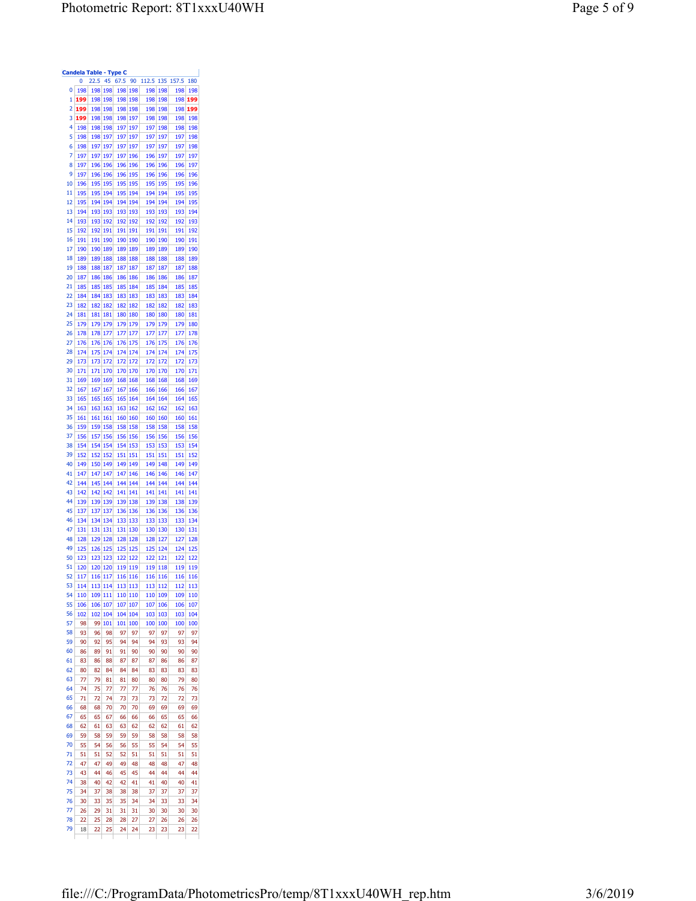| 0<br>198<br>198 198<br>198 198<br>198<br>198<br>198<br>1<br>199<br>198<br>198<br>198<br>198<br>198<br>198<br>198<br>2<br>199<br>198<br>198<br>198<br>198<br>198<br>198<br>198<br>3<br>199<br>198<br>198<br>198<br>197<br>198<br>198<br>198<br>4<br>198<br>198<br>198<br>197<br>197<br>197<br>198<br>198<br>5<br>198<br>198<br>197<br>197<br>197<br>197<br>197<br>197<br>6<br>198<br>197<br>197<br>197<br>197<br>197<br>197<br>197<br>197<br>197<br>197<br>7<br>197<br>197<br>196<br>196<br>197<br>8<br>197<br>196<br>196<br>196<br>196<br>196<br>196<br>196<br>9<br>197<br>196<br>196<br>196<br>195<br>196<br>196<br>196<br>10<br>196<br>195<br>195<br>195<br>195<br>195<br>195<br>195<br>11<br>195<br>195<br>194<br>194<br>194<br>194<br>195<br>195<br>12<br>195<br>194<br>194<br>194<br>194<br>194<br>194<br>194<br>13<br>194<br>193<br>193<br>193<br>193<br>193<br>193<br>193<br>14<br>193<br>193<br>192<br>192<br>192<br>192<br>192<br>192<br>15<br>192<br>191<br>191<br>192<br>191<br>191<br>191<br>191<br>16<br>191<br>191<br>190<br>190<br>190<br>190<br>190<br>190<br>17<br>190<br>189<br>190<br>189<br>189<br>189<br>189<br>189<br>18<br>189<br>189<br>188<br>188<br>188<br>188<br>188<br>188<br>19<br>188<br>187<br>187<br>187<br>188<br>187<br>187<br>187<br>20<br>187<br>186<br>186<br>186<br>186<br>186<br>186<br>186<br>21<br>185<br>185<br>185<br>185<br>184<br>185<br>184<br>185<br>22<br>184<br>183<br>183<br>184<br>183<br>183<br>183<br>183<br>23<br>182<br>182<br>182<br>182<br>182<br>182<br>182<br>182<br>24<br>181<br>181<br>181<br>180<br>180<br>180<br>180<br>180<br>25<br>179<br>179<br>179<br>179<br>179<br>179<br>179<br>179<br>26<br>178<br>178<br>177<br>177<br>177<br>177<br>177<br>177<br>27<br>176<br>176<br>176<br>176<br>175<br>176<br>175<br>176<br>28<br>174<br>175<br>174<br>174<br>174<br>174<br>174<br>174<br>29<br>173<br>173<br>172<br>172<br>172<br>172<br>172<br>172<br>30<br>171<br>171<br>170<br>170<br>170<br>170<br>170<br>170<br>31<br>169<br>169<br>169<br>168<br>168<br>168<br>168<br>168<br>32<br>167<br>167<br>167<br>167<br>166<br>166<br>166<br>166<br>33<br>165<br>165<br>165<br>164<br>164<br>165<br>164<br>164<br>34<br>163<br>163<br>163<br>163<br>162<br>162<br>162<br>162<br>35<br>161<br>161<br>161<br>160<br>160<br>160<br>160<br>160<br>36<br>159<br>159<br>158<br>158<br>158<br>158<br>158<br>158<br>37<br>156<br>157<br>156<br>156<br>156<br>156<br>156<br>156<br>38<br>154<br>154<br>154<br>153<br>154<br>153<br>153<br>153<br>39<br>152<br>152<br>152<br>151<br>151<br>151<br>151<br>151<br>40<br>149<br>150<br>149<br>149<br>149<br>148<br>149<br>149<br>41<br>147<br>147<br>147<br>147<br>146<br>146<br>146<br>146<br>42<br>144<br>145<br>144<br>144<br>144<br>144<br>144<br>144<br>43<br>142<br>142<br>142<br>141<br>141<br>141<br>141<br>141<br>44<br>139<br>139<br>139<br>139<br>138<br>139<br>138<br>138<br>45<br>137<br>137<br>137<br>136<br>136<br>136<br>136<br>136<br>46<br>134<br>134<br>134<br>133<br>133<br>133<br>133<br>133<br>47<br>131<br>131<br>131<br>131<br>130<br>130<br>130<br>130<br>48<br>128<br>129<br>128<br>128<br>128<br>127<br>128<br>127<br>49<br>125<br>126<br>125<br>125<br>125<br>125<br>124<br>124<br>50<br>123<br>123<br>123<br>122<br>122<br>121<br>122<br>122<br>51<br>120<br>120<br>120<br>119<br>119<br>119<br>118<br>119<br>52<br>117<br>116<br><u>117</u><br>116<br>116<br>116<br>116<br>116<br>53<br>114<br>113<br>114<br>113<br>113<br>113<br>112<br>112<br>54<br>110<br>109<br>111<br>109<br>109<br>110<br>110<br>110<br>55<br>106<br>106<br>107<br>107<br>107<br>107<br>106<br>106<br>56<br>102<br>104<br>102<br>104<br>104<br>103<br>103<br>103<br>57<br>98<br>99<br>101<br>101<br>100<br>100<br>100<br>100<br>58<br>93<br>96<br>98<br>97<br>97<br>97<br>97<br>97<br>59<br>95<br>93<br>90<br>92<br>94<br>94<br>94<br>93<br>60<br>90<br>86<br>89<br>91<br>91<br>90<br>90<br>90<br>61<br>83<br>86<br>88<br>87<br>87<br>87<br>86<br>86<br>62<br>80<br>82<br>84<br>84<br>84<br>83<br>83<br>83<br>63<br>77<br>79<br>81<br>81<br>80<br>80<br>80<br>79<br>64<br>74<br>75<br>77<br>77<br>76<br>76<br>77<br>76<br>65<br>71<br>72<br>74<br>73<br>73<br>73<br>72<br>72<br>66<br>68<br>68<br>70<br>70<br>70<br>69<br>69<br>69<br>67<br>65<br>65<br>67<br>66<br>66<br>66<br>65<br>65<br>68<br>62<br>61<br>63<br>63<br>62<br>62<br>62<br>61<br>69<br>59<br>58<br>59<br>59<br>59<br>58<br>58<br>58<br>70<br>55<br>54<br>56<br>56<br>55<br>55<br>54<br>54<br>71<br>51<br>51<br>52<br>52<br>51<br>51<br>51<br>51<br>72<br>47<br>49<br>47<br>49<br>48<br>48<br>48<br>47<br>73<br>43<br>44<br>46<br>45<br>45<br>44<br>44<br>44<br>74<br>40<br>42<br>42<br>41<br>41<br>40<br>40<br>38<br>75<br>37<br>34<br>38<br>38<br>38<br>37<br>37<br>37<br>76<br>30<br>33<br>35<br>35<br>34<br>34<br>33<br>33<br>77<br>29<br>31<br>31<br>31<br>30<br>30<br>26<br>30<br>78<br>22<br>25<br>28<br>28<br>27<br>27<br>26<br>26 |    |    | Candela Table - Type C |    |      |    |       |     |       |            |
|-------------------------------------------------------------------------------------------------------------------------------------------------------------------------------------------------------------------------------------------------------------------------------------------------------------------------------------------------------------------------------------------------------------------------------------------------------------------------------------------------------------------------------------------------------------------------------------------------------------------------------------------------------------------------------------------------------------------------------------------------------------------------------------------------------------------------------------------------------------------------------------------------------------------------------------------------------------------------------------------------------------------------------------------------------------------------------------------------------------------------------------------------------------------------------------------------------------------------------------------------------------------------------------------------------------------------------------------------------------------------------------------------------------------------------------------------------------------------------------------------------------------------------------------------------------------------------------------------------------------------------------------------------------------------------------------------------------------------------------------------------------------------------------------------------------------------------------------------------------------------------------------------------------------------------------------------------------------------------------------------------------------------------------------------------------------------------------------------------------------------------------------------------------------------------------------------------------------------------------------------------------------------------------------------------------------------------------------------------------------------------------------------------------------------------------------------------------------------------------------------------------------------------------------------------------------------------------------------------------------------------------------------------------------------------------------------------------------------------------------------------------------------------------------------------------------------------------------------------------------------------------------------------------------------------------------------------------------------------------------------------------------------------------------------------------------------------------------------------------------------------------------------------------------------------------------------------------------------------------------------------------------------------------------------------------------------------------------------------------------------------------------------------------------------------------------------------------------------------------------------------------------------------------------------------------------------------------------------------------------------------------------------------------------------------------------------------------------------------------------------------------------------------------------------------------------------------------------------------------------------------------------------------------------------------------------------------------------------------------------------------------------------------------------------------------------------------------------------------------------------------------------------------------------------------------------------------------------------------------------------------------------------------------------------------------------------------------------------------------------------------------------------------------------------------------------------------------------------------------------------------------------------------------------------------------------------------------------------------------------------------------------------------------------------------------------------------------------------------------------------------------------------------------------------------------------------------------------------------------------------------------------------------------|----|----|------------------------|----|------|----|-------|-----|-------|------------|
|                                                                                                                                                                                                                                                                                                                                                                                                                                                                                                                                                                                                                                                                                                                                                                                                                                                                                                                                                                                                                                                                                                                                                                                                                                                                                                                                                                                                                                                                                                                                                                                                                                                                                                                                                                                                                                                                                                                                                                                                                                                                                                                                                                                                                                                                                                                                                                                                                                                                                                                                                                                                                                                                                                                                                                                                                                                                                                                                                                                                                                                                                                                                                                                                                                                                                                                                                                                                                                                                                                                                                                                                                                                                                                                                                                                                                                                                                                                                                                                                                                                                                                                                                                                                                                                                                                                                                                                                                                                                                                                                                                                                                                                                                                                                                                                                                                                                                                             |    | 0  | 22.5                   | 45 | 67.5 | 90 | 112.5 | 135 | 157.5 | 180        |
|                                                                                                                                                                                                                                                                                                                                                                                                                                                                                                                                                                                                                                                                                                                                                                                                                                                                                                                                                                                                                                                                                                                                                                                                                                                                                                                                                                                                                                                                                                                                                                                                                                                                                                                                                                                                                                                                                                                                                                                                                                                                                                                                                                                                                                                                                                                                                                                                                                                                                                                                                                                                                                                                                                                                                                                                                                                                                                                                                                                                                                                                                                                                                                                                                                                                                                                                                                                                                                                                                                                                                                                                                                                                                                                                                                                                                                                                                                                                                                                                                                                                                                                                                                                                                                                                                                                                                                                                                                                                                                                                                                                                                                                                                                                                                                                                                                                                                                             |    |    |                        |    |      |    |       |     |       | 198        |
|                                                                                                                                                                                                                                                                                                                                                                                                                                                                                                                                                                                                                                                                                                                                                                                                                                                                                                                                                                                                                                                                                                                                                                                                                                                                                                                                                                                                                                                                                                                                                                                                                                                                                                                                                                                                                                                                                                                                                                                                                                                                                                                                                                                                                                                                                                                                                                                                                                                                                                                                                                                                                                                                                                                                                                                                                                                                                                                                                                                                                                                                                                                                                                                                                                                                                                                                                                                                                                                                                                                                                                                                                                                                                                                                                                                                                                                                                                                                                                                                                                                                                                                                                                                                                                                                                                                                                                                                                                                                                                                                                                                                                                                                                                                                                                                                                                                                                                             |    |    |                        |    |      |    |       |     |       | 199        |
|                                                                                                                                                                                                                                                                                                                                                                                                                                                                                                                                                                                                                                                                                                                                                                                                                                                                                                                                                                                                                                                                                                                                                                                                                                                                                                                                                                                                                                                                                                                                                                                                                                                                                                                                                                                                                                                                                                                                                                                                                                                                                                                                                                                                                                                                                                                                                                                                                                                                                                                                                                                                                                                                                                                                                                                                                                                                                                                                                                                                                                                                                                                                                                                                                                                                                                                                                                                                                                                                                                                                                                                                                                                                                                                                                                                                                                                                                                                                                                                                                                                                                                                                                                                                                                                                                                                                                                                                                                                                                                                                                                                                                                                                                                                                                                                                                                                                                                             |    |    |                        |    |      |    |       |     |       | 199        |
|                                                                                                                                                                                                                                                                                                                                                                                                                                                                                                                                                                                                                                                                                                                                                                                                                                                                                                                                                                                                                                                                                                                                                                                                                                                                                                                                                                                                                                                                                                                                                                                                                                                                                                                                                                                                                                                                                                                                                                                                                                                                                                                                                                                                                                                                                                                                                                                                                                                                                                                                                                                                                                                                                                                                                                                                                                                                                                                                                                                                                                                                                                                                                                                                                                                                                                                                                                                                                                                                                                                                                                                                                                                                                                                                                                                                                                                                                                                                                                                                                                                                                                                                                                                                                                                                                                                                                                                                                                                                                                                                                                                                                                                                                                                                                                                                                                                                                                             |    |    |                        |    |      |    |       |     |       | 198<br>198 |
|                                                                                                                                                                                                                                                                                                                                                                                                                                                                                                                                                                                                                                                                                                                                                                                                                                                                                                                                                                                                                                                                                                                                                                                                                                                                                                                                                                                                                                                                                                                                                                                                                                                                                                                                                                                                                                                                                                                                                                                                                                                                                                                                                                                                                                                                                                                                                                                                                                                                                                                                                                                                                                                                                                                                                                                                                                                                                                                                                                                                                                                                                                                                                                                                                                                                                                                                                                                                                                                                                                                                                                                                                                                                                                                                                                                                                                                                                                                                                                                                                                                                                                                                                                                                                                                                                                                                                                                                                                                                                                                                                                                                                                                                                                                                                                                                                                                                                                             |    |    |                        |    |      |    |       |     |       | 198        |
|                                                                                                                                                                                                                                                                                                                                                                                                                                                                                                                                                                                                                                                                                                                                                                                                                                                                                                                                                                                                                                                                                                                                                                                                                                                                                                                                                                                                                                                                                                                                                                                                                                                                                                                                                                                                                                                                                                                                                                                                                                                                                                                                                                                                                                                                                                                                                                                                                                                                                                                                                                                                                                                                                                                                                                                                                                                                                                                                                                                                                                                                                                                                                                                                                                                                                                                                                                                                                                                                                                                                                                                                                                                                                                                                                                                                                                                                                                                                                                                                                                                                                                                                                                                                                                                                                                                                                                                                                                                                                                                                                                                                                                                                                                                                                                                                                                                                                                             |    |    |                        |    |      |    |       |     |       | 198        |
|                                                                                                                                                                                                                                                                                                                                                                                                                                                                                                                                                                                                                                                                                                                                                                                                                                                                                                                                                                                                                                                                                                                                                                                                                                                                                                                                                                                                                                                                                                                                                                                                                                                                                                                                                                                                                                                                                                                                                                                                                                                                                                                                                                                                                                                                                                                                                                                                                                                                                                                                                                                                                                                                                                                                                                                                                                                                                                                                                                                                                                                                                                                                                                                                                                                                                                                                                                                                                                                                                                                                                                                                                                                                                                                                                                                                                                                                                                                                                                                                                                                                                                                                                                                                                                                                                                                                                                                                                                                                                                                                                                                                                                                                                                                                                                                                                                                                                                             |    |    |                        |    |      |    |       |     |       | 197        |
|                                                                                                                                                                                                                                                                                                                                                                                                                                                                                                                                                                                                                                                                                                                                                                                                                                                                                                                                                                                                                                                                                                                                                                                                                                                                                                                                                                                                                                                                                                                                                                                                                                                                                                                                                                                                                                                                                                                                                                                                                                                                                                                                                                                                                                                                                                                                                                                                                                                                                                                                                                                                                                                                                                                                                                                                                                                                                                                                                                                                                                                                                                                                                                                                                                                                                                                                                                                                                                                                                                                                                                                                                                                                                                                                                                                                                                                                                                                                                                                                                                                                                                                                                                                                                                                                                                                                                                                                                                                                                                                                                                                                                                                                                                                                                                                                                                                                                                             |    |    |                        |    |      |    |       |     |       | 197        |
|                                                                                                                                                                                                                                                                                                                                                                                                                                                                                                                                                                                                                                                                                                                                                                                                                                                                                                                                                                                                                                                                                                                                                                                                                                                                                                                                                                                                                                                                                                                                                                                                                                                                                                                                                                                                                                                                                                                                                                                                                                                                                                                                                                                                                                                                                                                                                                                                                                                                                                                                                                                                                                                                                                                                                                                                                                                                                                                                                                                                                                                                                                                                                                                                                                                                                                                                                                                                                                                                                                                                                                                                                                                                                                                                                                                                                                                                                                                                                                                                                                                                                                                                                                                                                                                                                                                                                                                                                                                                                                                                                                                                                                                                                                                                                                                                                                                                                                             |    |    |                        |    |      |    |       |     |       | 196        |
|                                                                                                                                                                                                                                                                                                                                                                                                                                                                                                                                                                                                                                                                                                                                                                                                                                                                                                                                                                                                                                                                                                                                                                                                                                                                                                                                                                                                                                                                                                                                                                                                                                                                                                                                                                                                                                                                                                                                                                                                                                                                                                                                                                                                                                                                                                                                                                                                                                                                                                                                                                                                                                                                                                                                                                                                                                                                                                                                                                                                                                                                                                                                                                                                                                                                                                                                                                                                                                                                                                                                                                                                                                                                                                                                                                                                                                                                                                                                                                                                                                                                                                                                                                                                                                                                                                                                                                                                                                                                                                                                                                                                                                                                                                                                                                                                                                                                                                             |    |    |                        |    |      |    |       |     |       | 196        |
|                                                                                                                                                                                                                                                                                                                                                                                                                                                                                                                                                                                                                                                                                                                                                                                                                                                                                                                                                                                                                                                                                                                                                                                                                                                                                                                                                                                                                                                                                                                                                                                                                                                                                                                                                                                                                                                                                                                                                                                                                                                                                                                                                                                                                                                                                                                                                                                                                                                                                                                                                                                                                                                                                                                                                                                                                                                                                                                                                                                                                                                                                                                                                                                                                                                                                                                                                                                                                                                                                                                                                                                                                                                                                                                                                                                                                                                                                                                                                                                                                                                                                                                                                                                                                                                                                                                                                                                                                                                                                                                                                                                                                                                                                                                                                                                                                                                                                                             |    |    |                        |    |      |    |       |     |       | 195        |
|                                                                                                                                                                                                                                                                                                                                                                                                                                                                                                                                                                                                                                                                                                                                                                                                                                                                                                                                                                                                                                                                                                                                                                                                                                                                                                                                                                                                                                                                                                                                                                                                                                                                                                                                                                                                                                                                                                                                                                                                                                                                                                                                                                                                                                                                                                                                                                                                                                                                                                                                                                                                                                                                                                                                                                                                                                                                                                                                                                                                                                                                                                                                                                                                                                                                                                                                                                                                                                                                                                                                                                                                                                                                                                                                                                                                                                                                                                                                                                                                                                                                                                                                                                                                                                                                                                                                                                                                                                                                                                                                                                                                                                                                                                                                                                                                                                                                                                             |    |    |                        |    |      |    |       |     |       | 195        |
|                                                                                                                                                                                                                                                                                                                                                                                                                                                                                                                                                                                                                                                                                                                                                                                                                                                                                                                                                                                                                                                                                                                                                                                                                                                                                                                                                                                                                                                                                                                                                                                                                                                                                                                                                                                                                                                                                                                                                                                                                                                                                                                                                                                                                                                                                                                                                                                                                                                                                                                                                                                                                                                                                                                                                                                                                                                                                                                                                                                                                                                                                                                                                                                                                                                                                                                                                                                                                                                                                                                                                                                                                                                                                                                                                                                                                                                                                                                                                                                                                                                                                                                                                                                                                                                                                                                                                                                                                                                                                                                                                                                                                                                                                                                                                                                                                                                                                                             |    |    |                        |    |      |    |       |     |       | 194        |
|                                                                                                                                                                                                                                                                                                                                                                                                                                                                                                                                                                                                                                                                                                                                                                                                                                                                                                                                                                                                                                                                                                                                                                                                                                                                                                                                                                                                                                                                                                                                                                                                                                                                                                                                                                                                                                                                                                                                                                                                                                                                                                                                                                                                                                                                                                                                                                                                                                                                                                                                                                                                                                                                                                                                                                                                                                                                                                                                                                                                                                                                                                                                                                                                                                                                                                                                                                                                                                                                                                                                                                                                                                                                                                                                                                                                                                                                                                                                                                                                                                                                                                                                                                                                                                                                                                                                                                                                                                                                                                                                                                                                                                                                                                                                                                                                                                                                                                             |    |    |                        |    |      |    |       |     |       | 193        |
|                                                                                                                                                                                                                                                                                                                                                                                                                                                                                                                                                                                                                                                                                                                                                                                                                                                                                                                                                                                                                                                                                                                                                                                                                                                                                                                                                                                                                                                                                                                                                                                                                                                                                                                                                                                                                                                                                                                                                                                                                                                                                                                                                                                                                                                                                                                                                                                                                                                                                                                                                                                                                                                                                                                                                                                                                                                                                                                                                                                                                                                                                                                                                                                                                                                                                                                                                                                                                                                                                                                                                                                                                                                                                                                                                                                                                                                                                                                                                                                                                                                                                                                                                                                                                                                                                                                                                                                                                                                                                                                                                                                                                                                                                                                                                                                                                                                                                                             |    |    |                        |    |      |    |       |     |       | 192        |
|                                                                                                                                                                                                                                                                                                                                                                                                                                                                                                                                                                                                                                                                                                                                                                                                                                                                                                                                                                                                                                                                                                                                                                                                                                                                                                                                                                                                                                                                                                                                                                                                                                                                                                                                                                                                                                                                                                                                                                                                                                                                                                                                                                                                                                                                                                                                                                                                                                                                                                                                                                                                                                                                                                                                                                                                                                                                                                                                                                                                                                                                                                                                                                                                                                                                                                                                                                                                                                                                                                                                                                                                                                                                                                                                                                                                                                                                                                                                                                                                                                                                                                                                                                                                                                                                                                                                                                                                                                                                                                                                                                                                                                                                                                                                                                                                                                                                                                             |    |    |                        |    |      |    |       |     |       | 191        |
|                                                                                                                                                                                                                                                                                                                                                                                                                                                                                                                                                                                                                                                                                                                                                                                                                                                                                                                                                                                                                                                                                                                                                                                                                                                                                                                                                                                                                                                                                                                                                                                                                                                                                                                                                                                                                                                                                                                                                                                                                                                                                                                                                                                                                                                                                                                                                                                                                                                                                                                                                                                                                                                                                                                                                                                                                                                                                                                                                                                                                                                                                                                                                                                                                                                                                                                                                                                                                                                                                                                                                                                                                                                                                                                                                                                                                                                                                                                                                                                                                                                                                                                                                                                                                                                                                                                                                                                                                                                                                                                                                                                                                                                                                                                                                                                                                                                                                                             |    |    |                        |    |      |    |       |     |       | 190        |
|                                                                                                                                                                                                                                                                                                                                                                                                                                                                                                                                                                                                                                                                                                                                                                                                                                                                                                                                                                                                                                                                                                                                                                                                                                                                                                                                                                                                                                                                                                                                                                                                                                                                                                                                                                                                                                                                                                                                                                                                                                                                                                                                                                                                                                                                                                                                                                                                                                                                                                                                                                                                                                                                                                                                                                                                                                                                                                                                                                                                                                                                                                                                                                                                                                                                                                                                                                                                                                                                                                                                                                                                                                                                                                                                                                                                                                                                                                                                                                                                                                                                                                                                                                                                                                                                                                                                                                                                                                                                                                                                                                                                                                                                                                                                                                                                                                                                                                             |    |    |                        |    |      |    |       |     |       | 189        |
|                                                                                                                                                                                                                                                                                                                                                                                                                                                                                                                                                                                                                                                                                                                                                                                                                                                                                                                                                                                                                                                                                                                                                                                                                                                                                                                                                                                                                                                                                                                                                                                                                                                                                                                                                                                                                                                                                                                                                                                                                                                                                                                                                                                                                                                                                                                                                                                                                                                                                                                                                                                                                                                                                                                                                                                                                                                                                                                                                                                                                                                                                                                                                                                                                                                                                                                                                                                                                                                                                                                                                                                                                                                                                                                                                                                                                                                                                                                                                                                                                                                                                                                                                                                                                                                                                                                                                                                                                                                                                                                                                                                                                                                                                                                                                                                                                                                                                                             |    |    |                        |    |      |    |       |     |       | 188        |
|                                                                                                                                                                                                                                                                                                                                                                                                                                                                                                                                                                                                                                                                                                                                                                                                                                                                                                                                                                                                                                                                                                                                                                                                                                                                                                                                                                                                                                                                                                                                                                                                                                                                                                                                                                                                                                                                                                                                                                                                                                                                                                                                                                                                                                                                                                                                                                                                                                                                                                                                                                                                                                                                                                                                                                                                                                                                                                                                                                                                                                                                                                                                                                                                                                                                                                                                                                                                                                                                                                                                                                                                                                                                                                                                                                                                                                                                                                                                                                                                                                                                                                                                                                                                                                                                                                                                                                                                                                                                                                                                                                                                                                                                                                                                                                                                                                                                                                             |    |    |                        |    |      |    |       |     |       | 187        |
|                                                                                                                                                                                                                                                                                                                                                                                                                                                                                                                                                                                                                                                                                                                                                                                                                                                                                                                                                                                                                                                                                                                                                                                                                                                                                                                                                                                                                                                                                                                                                                                                                                                                                                                                                                                                                                                                                                                                                                                                                                                                                                                                                                                                                                                                                                                                                                                                                                                                                                                                                                                                                                                                                                                                                                                                                                                                                                                                                                                                                                                                                                                                                                                                                                                                                                                                                                                                                                                                                                                                                                                                                                                                                                                                                                                                                                                                                                                                                                                                                                                                                                                                                                                                                                                                                                                                                                                                                                                                                                                                                                                                                                                                                                                                                                                                                                                                                                             |    |    |                        |    |      |    |       |     |       | 185        |
|                                                                                                                                                                                                                                                                                                                                                                                                                                                                                                                                                                                                                                                                                                                                                                                                                                                                                                                                                                                                                                                                                                                                                                                                                                                                                                                                                                                                                                                                                                                                                                                                                                                                                                                                                                                                                                                                                                                                                                                                                                                                                                                                                                                                                                                                                                                                                                                                                                                                                                                                                                                                                                                                                                                                                                                                                                                                                                                                                                                                                                                                                                                                                                                                                                                                                                                                                                                                                                                                                                                                                                                                                                                                                                                                                                                                                                                                                                                                                                                                                                                                                                                                                                                                                                                                                                                                                                                                                                                                                                                                                                                                                                                                                                                                                                                                                                                                                                             |    |    |                        |    |      |    |       |     |       | 184<br>183 |
|                                                                                                                                                                                                                                                                                                                                                                                                                                                                                                                                                                                                                                                                                                                                                                                                                                                                                                                                                                                                                                                                                                                                                                                                                                                                                                                                                                                                                                                                                                                                                                                                                                                                                                                                                                                                                                                                                                                                                                                                                                                                                                                                                                                                                                                                                                                                                                                                                                                                                                                                                                                                                                                                                                                                                                                                                                                                                                                                                                                                                                                                                                                                                                                                                                                                                                                                                                                                                                                                                                                                                                                                                                                                                                                                                                                                                                                                                                                                                                                                                                                                                                                                                                                                                                                                                                                                                                                                                                                                                                                                                                                                                                                                                                                                                                                                                                                                                                             |    |    |                        |    |      |    |       |     |       |            |
|                                                                                                                                                                                                                                                                                                                                                                                                                                                                                                                                                                                                                                                                                                                                                                                                                                                                                                                                                                                                                                                                                                                                                                                                                                                                                                                                                                                                                                                                                                                                                                                                                                                                                                                                                                                                                                                                                                                                                                                                                                                                                                                                                                                                                                                                                                                                                                                                                                                                                                                                                                                                                                                                                                                                                                                                                                                                                                                                                                                                                                                                                                                                                                                                                                                                                                                                                                                                                                                                                                                                                                                                                                                                                                                                                                                                                                                                                                                                                                                                                                                                                                                                                                                                                                                                                                                                                                                                                                                                                                                                                                                                                                                                                                                                                                                                                                                                                                             |    |    |                        |    |      |    |       |     |       | 181<br>180 |
|                                                                                                                                                                                                                                                                                                                                                                                                                                                                                                                                                                                                                                                                                                                                                                                                                                                                                                                                                                                                                                                                                                                                                                                                                                                                                                                                                                                                                                                                                                                                                                                                                                                                                                                                                                                                                                                                                                                                                                                                                                                                                                                                                                                                                                                                                                                                                                                                                                                                                                                                                                                                                                                                                                                                                                                                                                                                                                                                                                                                                                                                                                                                                                                                                                                                                                                                                                                                                                                                                                                                                                                                                                                                                                                                                                                                                                                                                                                                                                                                                                                                                                                                                                                                                                                                                                                                                                                                                                                                                                                                                                                                                                                                                                                                                                                                                                                                                                             |    |    |                        |    |      |    |       |     |       | 178        |
|                                                                                                                                                                                                                                                                                                                                                                                                                                                                                                                                                                                                                                                                                                                                                                                                                                                                                                                                                                                                                                                                                                                                                                                                                                                                                                                                                                                                                                                                                                                                                                                                                                                                                                                                                                                                                                                                                                                                                                                                                                                                                                                                                                                                                                                                                                                                                                                                                                                                                                                                                                                                                                                                                                                                                                                                                                                                                                                                                                                                                                                                                                                                                                                                                                                                                                                                                                                                                                                                                                                                                                                                                                                                                                                                                                                                                                                                                                                                                                                                                                                                                                                                                                                                                                                                                                                                                                                                                                                                                                                                                                                                                                                                                                                                                                                                                                                                                                             |    |    |                        |    |      |    |       |     |       | 176        |
|                                                                                                                                                                                                                                                                                                                                                                                                                                                                                                                                                                                                                                                                                                                                                                                                                                                                                                                                                                                                                                                                                                                                                                                                                                                                                                                                                                                                                                                                                                                                                                                                                                                                                                                                                                                                                                                                                                                                                                                                                                                                                                                                                                                                                                                                                                                                                                                                                                                                                                                                                                                                                                                                                                                                                                                                                                                                                                                                                                                                                                                                                                                                                                                                                                                                                                                                                                                                                                                                                                                                                                                                                                                                                                                                                                                                                                                                                                                                                                                                                                                                                                                                                                                                                                                                                                                                                                                                                                                                                                                                                                                                                                                                                                                                                                                                                                                                                                             |    |    |                        |    |      |    |       |     |       | 175        |
|                                                                                                                                                                                                                                                                                                                                                                                                                                                                                                                                                                                                                                                                                                                                                                                                                                                                                                                                                                                                                                                                                                                                                                                                                                                                                                                                                                                                                                                                                                                                                                                                                                                                                                                                                                                                                                                                                                                                                                                                                                                                                                                                                                                                                                                                                                                                                                                                                                                                                                                                                                                                                                                                                                                                                                                                                                                                                                                                                                                                                                                                                                                                                                                                                                                                                                                                                                                                                                                                                                                                                                                                                                                                                                                                                                                                                                                                                                                                                                                                                                                                                                                                                                                                                                                                                                                                                                                                                                                                                                                                                                                                                                                                                                                                                                                                                                                                                                             |    |    |                        |    |      |    |       |     |       | 173        |
|                                                                                                                                                                                                                                                                                                                                                                                                                                                                                                                                                                                                                                                                                                                                                                                                                                                                                                                                                                                                                                                                                                                                                                                                                                                                                                                                                                                                                                                                                                                                                                                                                                                                                                                                                                                                                                                                                                                                                                                                                                                                                                                                                                                                                                                                                                                                                                                                                                                                                                                                                                                                                                                                                                                                                                                                                                                                                                                                                                                                                                                                                                                                                                                                                                                                                                                                                                                                                                                                                                                                                                                                                                                                                                                                                                                                                                                                                                                                                                                                                                                                                                                                                                                                                                                                                                                                                                                                                                                                                                                                                                                                                                                                                                                                                                                                                                                                                                             |    |    |                        |    |      |    |       |     |       | 171        |
|                                                                                                                                                                                                                                                                                                                                                                                                                                                                                                                                                                                                                                                                                                                                                                                                                                                                                                                                                                                                                                                                                                                                                                                                                                                                                                                                                                                                                                                                                                                                                                                                                                                                                                                                                                                                                                                                                                                                                                                                                                                                                                                                                                                                                                                                                                                                                                                                                                                                                                                                                                                                                                                                                                                                                                                                                                                                                                                                                                                                                                                                                                                                                                                                                                                                                                                                                                                                                                                                                                                                                                                                                                                                                                                                                                                                                                                                                                                                                                                                                                                                                                                                                                                                                                                                                                                                                                                                                                                                                                                                                                                                                                                                                                                                                                                                                                                                                                             |    |    |                        |    |      |    |       |     |       | 169        |
|                                                                                                                                                                                                                                                                                                                                                                                                                                                                                                                                                                                                                                                                                                                                                                                                                                                                                                                                                                                                                                                                                                                                                                                                                                                                                                                                                                                                                                                                                                                                                                                                                                                                                                                                                                                                                                                                                                                                                                                                                                                                                                                                                                                                                                                                                                                                                                                                                                                                                                                                                                                                                                                                                                                                                                                                                                                                                                                                                                                                                                                                                                                                                                                                                                                                                                                                                                                                                                                                                                                                                                                                                                                                                                                                                                                                                                                                                                                                                                                                                                                                                                                                                                                                                                                                                                                                                                                                                                                                                                                                                                                                                                                                                                                                                                                                                                                                                                             |    |    |                        |    |      |    |       |     |       | 167        |
|                                                                                                                                                                                                                                                                                                                                                                                                                                                                                                                                                                                                                                                                                                                                                                                                                                                                                                                                                                                                                                                                                                                                                                                                                                                                                                                                                                                                                                                                                                                                                                                                                                                                                                                                                                                                                                                                                                                                                                                                                                                                                                                                                                                                                                                                                                                                                                                                                                                                                                                                                                                                                                                                                                                                                                                                                                                                                                                                                                                                                                                                                                                                                                                                                                                                                                                                                                                                                                                                                                                                                                                                                                                                                                                                                                                                                                                                                                                                                                                                                                                                                                                                                                                                                                                                                                                                                                                                                                                                                                                                                                                                                                                                                                                                                                                                                                                                                                             |    |    |                        |    |      |    |       |     |       | 165        |
|                                                                                                                                                                                                                                                                                                                                                                                                                                                                                                                                                                                                                                                                                                                                                                                                                                                                                                                                                                                                                                                                                                                                                                                                                                                                                                                                                                                                                                                                                                                                                                                                                                                                                                                                                                                                                                                                                                                                                                                                                                                                                                                                                                                                                                                                                                                                                                                                                                                                                                                                                                                                                                                                                                                                                                                                                                                                                                                                                                                                                                                                                                                                                                                                                                                                                                                                                                                                                                                                                                                                                                                                                                                                                                                                                                                                                                                                                                                                                                                                                                                                                                                                                                                                                                                                                                                                                                                                                                                                                                                                                                                                                                                                                                                                                                                                                                                                                                             |    |    |                        |    |      |    |       |     |       | 163        |
|                                                                                                                                                                                                                                                                                                                                                                                                                                                                                                                                                                                                                                                                                                                                                                                                                                                                                                                                                                                                                                                                                                                                                                                                                                                                                                                                                                                                                                                                                                                                                                                                                                                                                                                                                                                                                                                                                                                                                                                                                                                                                                                                                                                                                                                                                                                                                                                                                                                                                                                                                                                                                                                                                                                                                                                                                                                                                                                                                                                                                                                                                                                                                                                                                                                                                                                                                                                                                                                                                                                                                                                                                                                                                                                                                                                                                                                                                                                                                                                                                                                                                                                                                                                                                                                                                                                                                                                                                                                                                                                                                                                                                                                                                                                                                                                                                                                                                                             |    |    |                        |    |      |    |       |     |       | 161        |
|                                                                                                                                                                                                                                                                                                                                                                                                                                                                                                                                                                                                                                                                                                                                                                                                                                                                                                                                                                                                                                                                                                                                                                                                                                                                                                                                                                                                                                                                                                                                                                                                                                                                                                                                                                                                                                                                                                                                                                                                                                                                                                                                                                                                                                                                                                                                                                                                                                                                                                                                                                                                                                                                                                                                                                                                                                                                                                                                                                                                                                                                                                                                                                                                                                                                                                                                                                                                                                                                                                                                                                                                                                                                                                                                                                                                                                                                                                                                                                                                                                                                                                                                                                                                                                                                                                                                                                                                                                                                                                                                                                                                                                                                                                                                                                                                                                                                                                             |    |    |                        |    |      |    |       |     |       | 158        |
|                                                                                                                                                                                                                                                                                                                                                                                                                                                                                                                                                                                                                                                                                                                                                                                                                                                                                                                                                                                                                                                                                                                                                                                                                                                                                                                                                                                                                                                                                                                                                                                                                                                                                                                                                                                                                                                                                                                                                                                                                                                                                                                                                                                                                                                                                                                                                                                                                                                                                                                                                                                                                                                                                                                                                                                                                                                                                                                                                                                                                                                                                                                                                                                                                                                                                                                                                                                                                                                                                                                                                                                                                                                                                                                                                                                                                                                                                                                                                                                                                                                                                                                                                                                                                                                                                                                                                                                                                                                                                                                                                                                                                                                                                                                                                                                                                                                                                                             |    |    |                        |    |      |    |       |     |       | 156        |
|                                                                                                                                                                                                                                                                                                                                                                                                                                                                                                                                                                                                                                                                                                                                                                                                                                                                                                                                                                                                                                                                                                                                                                                                                                                                                                                                                                                                                                                                                                                                                                                                                                                                                                                                                                                                                                                                                                                                                                                                                                                                                                                                                                                                                                                                                                                                                                                                                                                                                                                                                                                                                                                                                                                                                                                                                                                                                                                                                                                                                                                                                                                                                                                                                                                                                                                                                                                                                                                                                                                                                                                                                                                                                                                                                                                                                                                                                                                                                                                                                                                                                                                                                                                                                                                                                                                                                                                                                                                                                                                                                                                                                                                                                                                                                                                                                                                                                                             |    |    |                        |    |      |    |       |     |       | 154        |
|                                                                                                                                                                                                                                                                                                                                                                                                                                                                                                                                                                                                                                                                                                                                                                                                                                                                                                                                                                                                                                                                                                                                                                                                                                                                                                                                                                                                                                                                                                                                                                                                                                                                                                                                                                                                                                                                                                                                                                                                                                                                                                                                                                                                                                                                                                                                                                                                                                                                                                                                                                                                                                                                                                                                                                                                                                                                                                                                                                                                                                                                                                                                                                                                                                                                                                                                                                                                                                                                                                                                                                                                                                                                                                                                                                                                                                                                                                                                                                                                                                                                                                                                                                                                                                                                                                                                                                                                                                                                                                                                                                                                                                                                                                                                                                                                                                                                                                             |    |    |                        |    |      |    |       |     |       | 152        |
|                                                                                                                                                                                                                                                                                                                                                                                                                                                                                                                                                                                                                                                                                                                                                                                                                                                                                                                                                                                                                                                                                                                                                                                                                                                                                                                                                                                                                                                                                                                                                                                                                                                                                                                                                                                                                                                                                                                                                                                                                                                                                                                                                                                                                                                                                                                                                                                                                                                                                                                                                                                                                                                                                                                                                                                                                                                                                                                                                                                                                                                                                                                                                                                                                                                                                                                                                                                                                                                                                                                                                                                                                                                                                                                                                                                                                                                                                                                                                                                                                                                                                                                                                                                                                                                                                                                                                                                                                                                                                                                                                                                                                                                                                                                                                                                                                                                                                                             |    |    |                        |    |      |    |       |     |       | 149        |
|                                                                                                                                                                                                                                                                                                                                                                                                                                                                                                                                                                                                                                                                                                                                                                                                                                                                                                                                                                                                                                                                                                                                                                                                                                                                                                                                                                                                                                                                                                                                                                                                                                                                                                                                                                                                                                                                                                                                                                                                                                                                                                                                                                                                                                                                                                                                                                                                                                                                                                                                                                                                                                                                                                                                                                                                                                                                                                                                                                                                                                                                                                                                                                                                                                                                                                                                                                                                                                                                                                                                                                                                                                                                                                                                                                                                                                                                                                                                                                                                                                                                                                                                                                                                                                                                                                                                                                                                                                                                                                                                                                                                                                                                                                                                                                                                                                                                                                             |    |    |                        |    |      |    |       |     |       | 147        |
|                                                                                                                                                                                                                                                                                                                                                                                                                                                                                                                                                                                                                                                                                                                                                                                                                                                                                                                                                                                                                                                                                                                                                                                                                                                                                                                                                                                                                                                                                                                                                                                                                                                                                                                                                                                                                                                                                                                                                                                                                                                                                                                                                                                                                                                                                                                                                                                                                                                                                                                                                                                                                                                                                                                                                                                                                                                                                                                                                                                                                                                                                                                                                                                                                                                                                                                                                                                                                                                                                                                                                                                                                                                                                                                                                                                                                                                                                                                                                                                                                                                                                                                                                                                                                                                                                                                                                                                                                                                                                                                                                                                                                                                                                                                                                                                                                                                                                                             |    |    |                        |    |      |    |       |     |       | 144        |
|                                                                                                                                                                                                                                                                                                                                                                                                                                                                                                                                                                                                                                                                                                                                                                                                                                                                                                                                                                                                                                                                                                                                                                                                                                                                                                                                                                                                                                                                                                                                                                                                                                                                                                                                                                                                                                                                                                                                                                                                                                                                                                                                                                                                                                                                                                                                                                                                                                                                                                                                                                                                                                                                                                                                                                                                                                                                                                                                                                                                                                                                                                                                                                                                                                                                                                                                                                                                                                                                                                                                                                                                                                                                                                                                                                                                                                                                                                                                                                                                                                                                                                                                                                                                                                                                                                                                                                                                                                                                                                                                                                                                                                                                                                                                                                                                                                                                                                             |    |    |                        |    |      |    |       |     |       | 141<br>139 |
|                                                                                                                                                                                                                                                                                                                                                                                                                                                                                                                                                                                                                                                                                                                                                                                                                                                                                                                                                                                                                                                                                                                                                                                                                                                                                                                                                                                                                                                                                                                                                                                                                                                                                                                                                                                                                                                                                                                                                                                                                                                                                                                                                                                                                                                                                                                                                                                                                                                                                                                                                                                                                                                                                                                                                                                                                                                                                                                                                                                                                                                                                                                                                                                                                                                                                                                                                                                                                                                                                                                                                                                                                                                                                                                                                                                                                                                                                                                                                                                                                                                                                                                                                                                                                                                                                                                                                                                                                                                                                                                                                                                                                                                                                                                                                                                                                                                                                                             |    |    |                        |    |      |    |       |     |       | 136        |
|                                                                                                                                                                                                                                                                                                                                                                                                                                                                                                                                                                                                                                                                                                                                                                                                                                                                                                                                                                                                                                                                                                                                                                                                                                                                                                                                                                                                                                                                                                                                                                                                                                                                                                                                                                                                                                                                                                                                                                                                                                                                                                                                                                                                                                                                                                                                                                                                                                                                                                                                                                                                                                                                                                                                                                                                                                                                                                                                                                                                                                                                                                                                                                                                                                                                                                                                                                                                                                                                                                                                                                                                                                                                                                                                                                                                                                                                                                                                                                                                                                                                                                                                                                                                                                                                                                                                                                                                                                                                                                                                                                                                                                                                                                                                                                                                                                                                                                             |    |    |                        |    |      |    |       |     |       | 134        |
|                                                                                                                                                                                                                                                                                                                                                                                                                                                                                                                                                                                                                                                                                                                                                                                                                                                                                                                                                                                                                                                                                                                                                                                                                                                                                                                                                                                                                                                                                                                                                                                                                                                                                                                                                                                                                                                                                                                                                                                                                                                                                                                                                                                                                                                                                                                                                                                                                                                                                                                                                                                                                                                                                                                                                                                                                                                                                                                                                                                                                                                                                                                                                                                                                                                                                                                                                                                                                                                                                                                                                                                                                                                                                                                                                                                                                                                                                                                                                                                                                                                                                                                                                                                                                                                                                                                                                                                                                                                                                                                                                                                                                                                                                                                                                                                                                                                                                                             |    |    |                        |    |      |    |       |     |       | 131        |
|                                                                                                                                                                                                                                                                                                                                                                                                                                                                                                                                                                                                                                                                                                                                                                                                                                                                                                                                                                                                                                                                                                                                                                                                                                                                                                                                                                                                                                                                                                                                                                                                                                                                                                                                                                                                                                                                                                                                                                                                                                                                                                                                                                                                                                                                                                                                                                                                                                                                                                                                                                                                                                                                                                                                                                                                                                                                                                                                                                                                                                                                                                                                                                                                                                                                                                                                                                                                                                                                                                                                                                                                                                                                                                                                                                                                                                                                                                                                                                                                                                                                                                                                                                                                                                                                                                                                                                                                                                                                                                                                                                                                                                                                                                                                                                                                                                                                                                             |    |    |                        |    |      |    |       |     |       | 128        |
|                                                                                                                                                                                                                                                                                                                                                                                                                                                                                                                                                                                                                                                                                                                                                                                                                                                                                                                                                                                                                                                                                                                                                                                                                                                                                                                                                                                                                                                                                                                                                                                                                                                                                                                                                                                                                                                                                                                                                                                                                                                                                                                                                                                                                                                                                                                                                                                                                                                                                                                                                                                                                                                                                                                                                                                                                                                                                                                                                                                                                                                                                                                                                                                                                                                                                                                                                                                                                                                                                                                                                                                                                                                                                                                                                                                                                                                                                                                                                                                                                                                                                                                                                                                                                                                                                                                                                                                                                                                                                                                                                                                                                                                                                                                                                                                                                                                                                                             |    |    |                        |    |      |    |       |     |       | 125        |
|                                                                                                                                                                                                                                                                                                                                                                                                                                                                                                                                                                                                                                                                                                                                                                                                                                                                                                                                                                                                                                                                                                                                                                                                                                                                                                                                                                                                                                                                                                                                                                                                                                                                                                                                                                                                                                                                                                                                                                                                                                                                                                                                                                                                                                                                                                                                                                                                                                                                                                                                                                                                                                                                                                                                                                                                                                                                                                                                                                                                                                                                                                                                                                                                                                                                                                                                                                                                                                                                                                                                                                                                                                                                                                                                                                                                                                                                                                                                                                                                                                                                                                                                                                                                                                                                                                                                                                                                                                                                                                                                                                                                                                                                                                                                                                                                                                                                                                             |    |    |                        |    |      |    |       |     |       | 122        |
|                                                                                                                                                                                                                                                                                                                                                                                                                                                                                                                                                                                                                                                                                                                                                                                                                                                                                                                                                                                                                                                                                                                                                                                                                                                                                                                                                                                                                                                                                                                                                                                                                                                                                                                                                                                                                                                                                                                                                                                                                                                                                                                                                                                                                                                                                                                                                                                                                                                                                                                                                                                                                                                                                                                                                                                                                                                                                                                                                                                                                                                                                                                                                                                                                                                                                                                                                                                                                                                                                                                                                                                                                                                                                                                                                                                                                                                                                                                                                                                                                                                                                                                                                                                                                                                                                                                                                                                                                                                                                                                                                                                                                                                                                                                                                                                                                                                                                                             |    |    |                        |    |      |    |       |     |       | 119        |
|                                                                                                                                                                                                                                                                                                                                                                                                                                                                                                                                                                                                                                                                                                                                                                                                                                                                                                                                                                                                                                                                                                                                                                                                                                                                                                                                                                                                                                                                                                                                                                                                                                                                                                                                                                                                                                                                                                                                                                                                                                                                                                                                                                                                                                                                                                                                                                                                                                                                                                                                                                                                                                                                                                                                                                                                                                                                                                                                                                                                                                                                                                                                                                                                                                                                                                                                                                                                                                                                                                                                                                                                                                                                                                                                                                                                                                                                                                                                                                                                                                                                                                                                                                                                                                                                                                                                                                                                                                                                                                                                                                                                                                                                                                                                                                                                                                                                                                             |    |    |                        |    |      |    |       |     |       | 116        |
|                                                                                                                                                                                                                                                                                                                                                                                                                                                                                                                                                                                                                                                                                                                                                                                                                                                                                                                                                                                                                                                                                                                                                                                                                                                                                                                                                                                                                                                                                                                                                                                                                                                                                                                                                                                                                                                                                                                                                                                                                                                                                                                                                                                                                                                                                                                                                                                                                                                                                                                                                                                                                                                                                                                                                                                                                                                                                                                                                                                                                                                                                                                                                                                                                                                                                                                                                                                                                                                                                                                                                                                                                                                                                                                                                                                                                                                                                                                                                                                                                                                                                                                                                                                                                                                                                                                                                                                                                                                                                                                                                                                                                                                                                                                                                                                                                                                                                                             |    |    |                        |    |      |    |       |     |       | 113        |
|                                                                                                                                                                                                                                                                                                                                                                                                                                                                                                                                                                                                                                                                                                                                                                                                                                                                                                                                                                                                                                                                                                                                                                                                                                                                                                                                                                                                                                                                                                                                                                                                                                                                                                                                                                                                                                                                                                                                                                                                                                                                                                                                                                                                                                                                                                                                                                                                                                                                                                                                                                                                                                                                                                                                                                                                                                                                                                                                                                                                                                                                                                                                                                                                                                                                                                                                                                                                                                                                                                                                                                                                                                                                                                                                                                                                                                                                                                                                                                                                                                                                                                                                                                                                                                                                                                                                                                                                                                                                                                                                                                                                                                                                                                                                                                                                                                                                                                             |    |    |                        |    |      |    |       |     |       | 110        |
|                                                                                                                                                                                                                                                                                                                                                                                                                                                                                                                                                                                                                                                                                                                                                                                                                                                                                                                                                                                                                                                                                                                                                                                                                                                                                                                                                                                                                                                                                                                                                                                                                                                                                                                                                                                                                                                                                                                                                                                                                                                                                                                                                                                                                                                                                                                                                                                                                                                                                                                                                                                                                                                                                                                                                                                                                                                                                                                                                                                                                                                                                                                                                                                                                                                                                                                                                                                                                                                                                                                                                                                                                                                                                                                                                                                                                                                                                                                                                                                                                                                                                                                                                                                                                                                                                                                                                                                                                                                                                                                                                                                                                                                                                                                                                                                                                                                                                                             |    |    |                        |    |      |    |       |     |       | 107        |
|                                                                                                                                                                                                                                                                                                                                                                                                                                                                                                                                                                                                                                                                                                                                                                                                                                                                                                                                                                                                                                                                                                                                                                                                                                                                                                                                                                                                                                                                                                                                                                                                                                                                                                                                                                                                                                                                                                                                                                                                                                                                                                                                                                                                                                                                                                                                                                                                                                                                                                                                                                                                                                                                                                                                                                                                                                                                                                                                                                                                                                                                                                                                                                                                                                                                                                                                                                                                                                                                                                                                                                                                                                                                                                                                                                                                                                                                                                                                                                                                                                                                                                                                                                                                                                                                                                                                                                                                                                                                                                                                                                                                                                                                                                                                                                                                                                                                                                             |    |    |                        |    |      |    |       |     |       | 104        |
|                                                                                                                                                                                                                                                                                                                                                                                                                                                                                                                                                                                                                                                                                                                                                                                                                                                                                                                                                                                                                                                                                                                                                                                                                                                                                                                                                                                                                                                                                                                                                                                                                                                                                                                                                                                                                                                                                                                                                                                                                                                                                                                                                                                                                                                                                                                                                                                                                                                                                                                                                                                                                                                                                                                                                                                                                                                                                                                                                                                                                                                                                                                                                                                                                                                                                                                                                                                                                                                                                                                                                                                                                                                                                                                                                                                                                                                                                                                                                                                                                                                                                                                                                                                                                                                                                                                                                                                                                                                                                                                                                                                                                                                                                                                                                                                                                                                                                                             |    |    |                        |    |      |    |       |     |       | 100        |
|                                                                                                                                                                                                                                                                                                                                                                                                                                                                                                                                                                                                                                                                                                                                                                                                                                                                                                                                                                                                                                                                                                                                                                                                                                                                                                                                                                                                                                                                                                                                                                                                                                                                                                                                                                                                                                                                                                                                                                                                                                                                                                                                                                                                                                                                                                                                                                                                                                                                                                                                                                                                                                                                                                                                                                                                                                                                                                                                                                                                                                                                                                                                                                                                                                                                                                                                                                                                                                                                                                                                                                                                                                                                                                                                                                                                                                                                                                                                                                                                                                                                                                                                                                                                                                                                                                                                                                                                                                                                                                                                                                                                                                                                                                                                                                                                                                                                                                             |    |    |                        |    |      |    |       |     |       | 97         |
|                                                                                                                                                                                                                                                                                                                                                                                                                                                                                                                                                                                                                                                                                                                                                                                                                                                                                                                                                                                                                                                                                                                                                                                                                                                                                                                                                                                                                                                                                                                                                                                                                                                                                                                                                                                                                                                                                                                                                                                                                                                                                                                                                                                                                                                                                                                                                                                                                                                                                                                                                                                                                                                                                                                                                                                                                                                                                                                                                                                                                                                                                                                                                                                                                                                                                                                                                                                                                                                                                                                                                                                                                                                                                                                                                                                                                                                                                                                                                                                                                                                                                                                                                                                                                                                                                                                                                                                                                                                                                                                                                                                                                                                                                                                                                                                                                                                                                                             |    |    |                        |    |      |    |       |     |       | 94         |
|                                                                                                                                                                                                                                                                                                                                                                                                                                                                                                                                                                                                                                                                                                                                                                                                                                                                                                                                                                                                                                                                                                                                                                                                                                                                                                                                                                                                                                                                                                                                                                                                                                                                                                                                                                                                                                                                                                                                                                                                                                                                                                                                                                                                                                                                                                                                                                                                                                                                                                                                                                                                                                                                                                                                                                                                                                                                                                                                                                                                                                                                                                                                                                                                                                                                                                                                                                                                                                                                                                                                                                                                                                                                                                                                                                                                                                                                                                                                                                                                                                                                                                                                                                                                                                                                                                                                                                                                                                                                                                                                                                                                                                                                                                                                                                                                                                                                                                             |    |    |                        |    |      |    |       |     |       | 90         |
|                                                                                                                                                                                                                                                                                                                                                                                                                                                                                                                                                                                                                                                                                                                                                                                                                                                                                                                                                                                                                                                                                                                                                                                                                                                                                                                                                                                                                                                                                                                                                                                                                                                                                                                                                                                                                                                                                                                                                                                                                                                                                                                                                                                                                                                                                                                                                                                                                                                                                                                                                                                                                                                                                                                                                                                                                                                                                                                                                                                                                                                                                                                                                                                                                                                                                                                                                                                                                                                                                                                                                                                                                                                                                                                                                                                                                                                                                                                                                                                                                                                                                                                                                                                                                                                                                                                                                                                                                                                                                                                                                                                                                                                                                                                                                                                                                                                                                                             |    |    |                        |    |      |    |       |     |       | 87         |
|                                                                                                                                                                                                                                                                                                                                                                                                                                                                                                                                                                                                                                                                                                                                                                                                                                                                                                                                                                                                                                                                                                                                                                                                                                                                                                                                                                                                                                                                                                                                                                                                                                                                                                                                                                                                                                                                                                                                                                                                                                                                                                                                                                                                                                                                                                                                                                                                                                                                                                                                                                                                                                                                                                                                                                                                                                                                                                                                                                                                                                                                                                                                                                                                                                                                                                                                                                                                                                                                                                                                                                                                                                                                                                                                                                                                                                                                                                                                                                                                                                                                                                                                                                                                                                                                                                                                                                                                                                                                                                                                                                                                                                                                                                                                                                                                                                                                                                             |    |    |                        |    |      |    |       |     |       | 83         |
|                                                                                                                                                                                                                                                                                                                                                                                                                                                                                                                                                                                                                                                                                                                                                                                                                                                                                                                                                                                                                                                                                                                                                                                                                                                                                                                                                                                                                                                                                                                                                                                                                                                                                                                                                                                                                                                                                                                                                                                                                                                                                                                                                                                                                                                                                                                                                                                                                                                                                                                                                                                                                                                                                                                                                                                                                                                                                                                                                                                                                                                                                                                                                                                                                                                                                                                                                                                                                                                                                                                                                                                                                                                                                                                                                                                                                                                                                                                                                                                                                                                                                                                                                                                                                                                                                                                                                                                                                                                                                                                                                                                                                                                                                                                                                                                                                                                                                                             |    |    |                        |    |      |    |       |     |       | 80<br>76   |
|                                                                                                                                                                                                                                                                                                                                                                                                                                                                                                                                                                                                                                                                                                                                                                                                                                                                                                                                                                                                                                                                                                                                                                                                                                                                                                                                                                                                                                                                                                                                                                                                                                                                                                                                                                                                                                                                                                                                                                                                                                                                                                                                                                                                                                                                                                                                                                                                                                                                                                                                                                                                                                                                                                                                                                                                                                                                                                                                                                                                                                                                                                                                                                                                                                                                                                                                                                                                                                                                                                                                                                                                                                                                                                                                                                                                                                                                                                                                                                                                                                                                                                                                                                                                                                                                                                                                                                                                                                                                                                                                                                                                                                                                                                                                                                                                                                                                                                             |    |    |                        |    |      |    |       |     |       | 73         |
|                                                                                                                                                                                                                                                                                                                                                                                                                                                                                                                                                                                                                                                                                                                                                                                                                                                                                                                                                                                                                                                                                                                                                                                                                                                                                                                                                                                                                                                                                                                                                                                                                                                                                                                                                                                                                                                                                                                                                                                                                                                                                                                                                                                                                                                                                                                                                                                                                                                                                                                                                                                                                                                                                                                                                                                                                                                                                                                                                                                                                                                                                                                                                                                                                                                                                                                                                                                                                                                                                                                                                                                                                                                                                                                                                                                                                                                                                                                                                                                                                                                                                                                                                                                                                                                                                                                                                                                                                                                                                                                                                                                                                                                                                                                                                                                                                                                                                                             |    |    |                        |    |      |    |       |     |       | 69         |
|                                                                                                                                                                                                                                                                                                                                                                                                                                                                                                                                                                                                                                                                                                                                                                                                                                                                                                                                                                                                                                                                                                                                                                                                                                                                                                                                                                                                                                                                                                                                                                                                                                                                                                                                                                                                                                                                                                                                                                                                                                                                                                                                                                                                                                                                                                                                                                                                                                                                                                                                                                                                                                                                                                                                                                                                                                                                                                                                                                                                                                                                                                                                                                                                                                                                                                                                                                                                                                                                                                                                                                                                                                                                                                                                                                                                                                                                                                                                                                                                                                                                                                                                                                                                                                                                                                                                                                                                                                                                                                                                                                                                                                                                                                                                                                                                                                                                                                             |    |    |                        |    |      |    |       |     |       | 66         |
|                                                                                                                                                                                                                                                                                                                                                                                                                                                                                                                                                                                                                                                                                                                                                                                                                                                                                                                                                                                                                                                                                                                                                                                                                                                                                                                                                                                                                                                                                                                                                                                                                                                                                                                                                                                                                                                                                                                                                                                                                                                                                                                                                                                                                                                                                                                                                                                                                                                                                                                                                                                                                                                                                                                                                                                                                                                                                                                                                                                                                                                                                                                                                                                                                                                                                                                                                                                                                                                                                                                                                                                                                                                                                                                                                                                                                                                                                                                                                                                                                                                                                                                                                                                                                                                                                                                                                                                                                                                                                                                                                                                                                                                                                                                                                                                                                                                                                                             |    |    |                        |    |      |    |       |     |       | 62         |
|                                                                                                                                                                                                                                                                                                                                                                                                                                                                                                                                                                                                                                                                                                                                                                                                                                                                                                                                                                                                                                                                                                                                                                                                                                                                                                                                                                                                                                                                                                                                                                                                                                                                                                                                                                                                                                                                                                                                                                                                                                                                                                                                                                                                                                                                                                                                                                                                                                                                                                                                                                                                                                                                                                                                                                                                                                                                                                                                                                                                                                                                                                                                                                                                                                                                                                                                                                                                                                                                                                                                                                                                                                                                                                                                                                                                                                                                                                                                                                                                                                                                                                                                                                                                                                                                                                                                                                                                                                                                                                                                                                                                                                                                                                                                                                                                                                                                                                             |    |    |                        |    |      |    |       |     |       | 58         |
|                                                                                                                                                                                                                                                                                                                                                                                                                                                                                                                                                                                                                                                                                                                                                                                                                                                                                                                                                                                                                                                                                                                                                                                                                                                                                                                                                                                                                                                                                                                                                                                                                                                                                                                                                                                                                                                                                                                                                                                                                                                                                                                                                                                                                                                                                                                                                                                                                                                                                                                                                                                                                                                                                                                                                                                                                                                                                                                                                                                                                                                                                                                                                                                                                                                                                                                                                                                                                                                                                                                                                                                                                                                                                                                                                                                                                                                                                                                                                                                                                                                                                                                                                                                                                                                                                                                                                                                                                                                                                                                                                                                                                                                                                                                                                                                                                                                                                                             |    |    |                        |    |      |    |       |     |       | 55         |
|                                                                                                                                                                                                                                                                                                                                                                                                                                                                                                                                                                                                                                                                                                                                                                                                                                                                                                                                                                                                                                                                                                                                                                                                                                                                                                                                                                                                                                                                                                                                                                                                                                                                                                                                                                                                                                                                                                                                                                                                                                                                                                                                                                                                                                                                                                                                                                                                                                                                                                                                                                                                                                                                                                                                                                                                                                                                                                                                                                                                                                                                                                                                                                                                                                                                                                                                                                                                                                                                                                                                                                                                                                                                                                                                                                                                                                                                                                                                                                                                                                                                                                                                                                                                                                                                                                                                                                                                                                                                                                                                                                                                                                                                                                                                                                                                                                                                                                             |    |    |                        |    |      |    |       |     |       | 51         |
|                                                                                                                                                                                                                                                                                                                                                                                                                                                                                                                                                                                                                                                                                                                                                                                                                                                                                                                                                                                                                                                                                                                                                                                                                                                                                                                                                                                                                                                                                                                                                                                                                                                                                                                                                                                                                                                                                                                                                                                                                                                                                                                                                                                                                                                                                                                                                                                                                                                                                                                                                                                                                                                                                                                                                                                                                                                                                                                                                                                                                                                                                                                                                                                                                                                                                                                                                                                                                                                                                                                                                                                                                                                                                                                                                                                                                                                                                                                                                                                                                                                                                                                                                                                                                                                                                                                                                                                                                                                                                                                                                                                                                                                                                                                                                                                                                                                                                                             |    |    |                        |    |      |    |       |     |       | 48         |
|                                                                                                                                                                                                                                                                                                                                                                                                                                                                                                                                                                                                                                                                                                                                                                                                                                                                                                                                                                                                                                                                                                                                                                                                                                                                                                                                                                                                                                                                                                                                                                                                                                                                                                                                                                                                                                                                                                                                                                                                                                                                                                                                                                                                                                                                                                                                                                                                                                                                                                                                                                                                                                                                                                                                                                                                                                                                                                                                                                                                                                                                                                                                                                                                                                                                                                                                                                                                                                                                                                                                                                                                                                                                                                                                                                                                                                                                                                                                                                                                                                                                                                                                                                                                                                                                                                                                                                                                                                                                                                                                                                                                                                                                                                                                                                                                                                                                                                             |    |    |                        |    |      |    |       |     |       | 44         |
|                                                                                                                                                                                                                                                                                                                                                                                                                                                                                                                                                                                                                                                                                                                                                                                                                                                                                                                                                                                                                                                                                                                                                                                                                                                                                                                                                                                                                                                                                                                                                                                                                                                                                                                                                                                                                                                                                                                                                                                                                                                                                                                                                                                                                                                                                                                                                                                                                                                                                                                                                                                                                                                                                                                                                                                                                                                                                                                                                                                                                                                                                                                                                                                                                                                                                                                                                                                                                                                                                                                                                                                                                                                                                                                                                                                                                                                                                                                                                                                                                                                                                                                                                                                                                                                                                                                                                                                                                                                                                                                                                                                                                                                                                                                                                                                                                                                                                                             |    |    |                        |    |      |    |       |     |       | 41         |
|                                                                                                                                                                                                                                                                                                                                                                                                                                                                                                                                                                                                                                                                                                                                                                                                                                                                                                                                                                                                                                                                                                                                                                                                                                                                                                                                                                                                                                                                                                                                                                                                                                                                                                                                                                                                                                                                                                                                                                                                                                                                                                                                                                                                                                                                                                                                                                                                                                                                                                                                                                                                                                                                                                                                                                                                                                                                                                                                                                                                                                                                                                                                                                                                                                                                                                                                                                                                                                                                                                                                                                                                                                                                                                                                                                                                                                                                                                                                                                                                                                                                                                                                                                                                                                                                                                                                                                                                                                                                                                                                                                                                                                                                                                                                                                                                                                                                                                             |    |    |                        |    |      |    |       |     |       | 37         |
|                                                                                                                                                                                                                                                                                                                                                                                                                                                                                                                                                                                                                                                                                                                                                                                                                                                                                                                                                                                                                                                                                                                                                                                                                                                                                                                                                                                                                                                                                                                                                                                                                                                                                                                                                                                                                                                                                                                                                                                                                                                                                                                                                                                                                                                                                                                                                                                                                                                                                                                                                                                                                                                                                                                                                                                                                                                                                                                                                                                                                                                                                                                                                                                                                                                                                                                                                                                                                                                                                                                                                                                                                                                                                                                                                                                                                                                                                                                                                                                                                                                                                                                                                                                                                                                                                                                                                                                                                                                                                                                                                                                                                                                                                                                                                                                                                                                                                                             |    |    |                        |    |      |    |       |     |       | 34         |
|                                                                                                                                                                                                                                                                                                                                                                                                                                                                                                                                                                                                                                                                                                                                                                                                                                                                                                                                                                                                                                                                                                                                                                                                                                                                                                                                                                                                                                                                                                                                                                                                                                                                                                                                                                                                                                                                                                                                                                                                                                                                                                                                                                                                                                                                                                                                                                                                                                                                                                                                                                                                                                                                                                                                                                                                                                                                                                                                                                                                                                                                                                                                                                                                                                                                                                                                                                                                                                                                                                                                                                                                                                                                                                                                                                                                                                                                                                                                                                                                                                                                                                                                                                                                                                                                                                                                                                                                                                                                                                                                                                                                                                                                                                                                                                                                                                                                                                             |    |    |                        |    |      |    |       |     |       | 30         |
|                                                                                                                                                                                                                                                                                                                                                                                                                                                                                                                                                                                                                                                                                                                                                                                                                                                                                                                                                                                                                                                                                                                                                                                                                                                                                                                                                                                                                                                                                                                                                                                                                                                                                                                                                                                                                                                                                                                                                                                                                                                                                                                                                                                                                                                                                                                                                                                                                                                                                                                                                                                                                                                                                                                                                                                                                                                                                                                                                                                                                                                                                                                                                                                                                                                                                                                                                                                                                                                                                                                                                                                                                                                                                                                                                                                                                                                                                                                                                                                                                                                                                                                                                                                                                                                                                                                                                                                                                                                                                                                                                                                                                                                                                                                                                                                                                                                                                                             |    |    |                        |    |      |    |       |     |       | 26         |
|                                                                                                                                                                                                                                                                                                                                                                                                                                                                                                                                                                                                                                                                                                                                                                                                                                                                                                                                                                                                                                                                                                                                                                                                                                                                                                                                                                                                                                                                                                                                                                                                                                                                                                                                                                                                                                                                                                                                                                                                                                                                                                                                                                                                                                                                                                                                                                                                                                                                                                                                                                                                                                                                                                                                                                                                                                                                                                                                                                                                                                                                                                                                                                                                                                                                                                                                                                                                                                                                                                                                                                                                                                                                                                                                                                                                                                                                                                                                                                                                                                                                                                                                                                                                                                                                                                                                                                                                                                                                                                                                                                                                                                                                                                                                                                                                                                                                                                             | 79 | 18 | 22                     | 25 | 24   | 24 | 23    | 23  | 23    | 22         |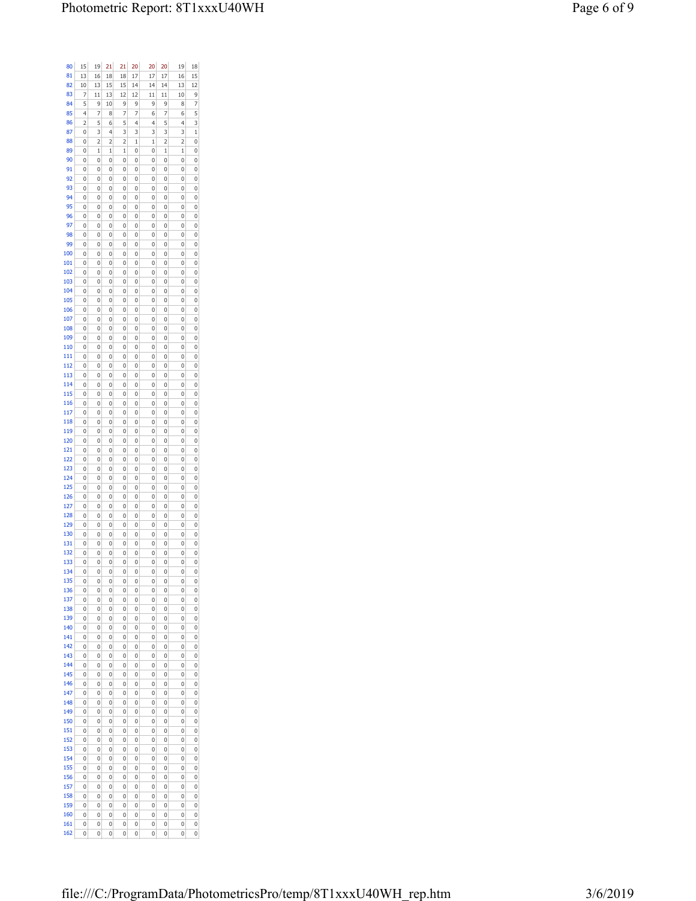| 80  | 15 | 19           | 21 | 21 | 20           | 20             | 20 | 19             | 18           |
|-----|----|--------------|----|----|--------------|----------------|----|----------------|--------------|
| 81  | 13 | 16           | 18 | 18 | 17           | 17             | 17 | 16             | 15           |
| 82  | 10 | 13           | 15 | 15 | 14           | 14             | 14 | 13             | 12           |
| 83  | 7  | 11           | 13 | 12 | 12           | 11             | 11 | 10             | 9            |
| 84  | 5  | 9            | 10 | 9  | 9            | 9              | 9  | 8              | 7            |
| 85  | 4  | 7            | 8  | 7  | 7            | 6              | 7  | 6              | 5            |
| 86  | 2  | 5            | 6  | 5  | 4            | $\overline{4}$ | 5  | $\overline{4}$ | 3            |
| 87  | 0  | 3            | 4  | 3  | 3            | 3              | 3  | 3              | $\mathbf{1}$ |
| 88  | 0  | 2            | 2  | 2  | $\mathbf{1}$ | $\mathbf{1}$   | 2  | 2              | 0            |
| 89  | 0  | $\mathbf{1}$ | 1  | 1  | 0            | 0              | 1  | 1              | 0            |
| 90  | 0  | 0            | 0  | 0  | 0            | 0              | 0  | 0              | 0            |
| 91  | 0  | 0            | 0  | 0  | 0            | 0              | 0  | 0              | 0            |
| 92  | 0  | 0            | 0  | Ō  | 0            | 0              | 0  | 0              | 0            |
|     |    |              |    |    |              |                |    |                |              |
| 93  | 0  | 0            | 0  | 0  | 0            | 0              | 0  | 0              | 0            |
| 94  | 0  | 0            | 0  | Ō  | 0            | 0              | 0  | 0              | 0            |
| 95  | 0  | 0            | 0  | 0  | 0            | 0              | 0  | 0              | 0            |
| 96  | 0  | 0            | 0  | 0  | 0            | 0              | 0  | 0              | 0            |
| 97  | 0  | 0            | 0  | 0  | 0            | 0              | 0  | 0              | 0            |
| 98  | 0  | 0            | 0  | 0  | 0            | 0              | 0  | 0              | 0            |
| 99  | 0  | 0            | 0  | 0  | 0            | 0              | 0  | 0              | 0            |
| 100 | 0  | 0            | 0  | 0  | 0            | 0              | 0  | 0              | 0            |
| 101 | 0  | 0            | 0  | 0  | 0            | 0              | 0  | 0              | 0            |
| 102 | 0  | 0            | 0  | Ō  | 0            | 0              | 0  | 0              | 0            |
| 103 | 0  | 0            | 0  | 0  | 0            | 0              | 0  | 0              | 0            |
| 104 | 0  | 0            | 0  | 0  | 0            | 0              | 0  | 0              | 0            |
| 105 | 0  | 0            | 0  | 0  | 0            | 0              | 0  | 0              | 0            |
| 106 | 0  | 0            | 0  | 0  | 0            | 0              | 0  | 0              | 0            |
|     |    |              |    |    |              |                |    |                |              |
| 107 | 0  | 0            | 0  | 0  | 0            | 0              | 0  | 0              | 0            |
| 108 | 0  | 0            | 0  | 0  | 0            | 0              | 0  | 0              | 0            |
| 109 | 0  | 0            | 0  | 0  | 0            | 0              | 0  | 0              | 0            |
| 110 | 0  | 0            | 0  | 0  | 0            | 0              | 0  | 0              | 0            |
| 111 | 0  | 0            | 0  | 0  | 0            | 0              | 0  | 0              | 0            |
| 112 | 0  | 0            | 0  | 0  | 0            | 0              | 0  | 0              | 0            |
| 113 | 0  | 0            | 0  | 0  | 0            | 0              | 0  | 0              | 0            |
| 114 | 0  | 0            | 0  | 0  | 0            | 0              | 0  | 0              | 0            |
| 115 | 0  | 0            | 0  | 0  | 0            | 0              | 0  | 0              | 0            |
| 116 | 0  | 0            | 0  | 0  | 0            | 0              | 0  | 0              | 0            |
| 117 | 0  | 0            | 0  | 0  | 0            | 0              | 0  | 0              | 0            |
| 118 | 0  | 0            | 0  | 0  | 0            | 0              | 0  | 0              | 0            |
| 119 | 0  | 0            | 0  | Ō  | 0            | 0              | 0  | 0              | 0            |
|     |    |              |    |    |              |                |    |                |              |
| 120 | 0  | 0            | 0  | 0  | 0            | 0              | 0  | 0              | 0            |
| 121 | 0  | 0            | 0  | Ō  | 0            | 0              | 0  | 0              | 0            |
| 122 | 0  | 0            | 0  | 0  | 0            | 0              | 0  | 0              | 0            |
| 123 | 0  | 0            | 0  | 0  | 0            | 0              | 0  | 0              | 0            |
| 124 | 0  | 0            | 0  | 0  | 0            | 0              | 0  | 0              | 0            |
| 125 | 0  | 0            | 0  | 0  | 0            | 0              | 0  | 0              | 0            |
| 126 | 0  | 0            | 0  | 0  | 0            | 0              | 0  | 0              | 0            |
| 127 | 0  | 0            | 0  | 0  | 0            | 0              | 0  | 0              | 0            |
| 128 | 0  | 0            | 0  | 0  | 0            | 0              | 0  | 0              | 0            |
| 129 | 0  | 0            | 0  | 0  | 0            | 0              | 0  | 0              | 0            |
| 130 | 0  | 0            | 0  | 0  | 0            | 0              | 0  | 0              | 0            |
| 131 | 0  | 0            | 0  | 0  | 0            | 0              | 0  | 0              | 0            |
| 132 | 0  | 0            | 0  | 0  | 0            | 0              | 0  | 0              | 0            |
| 133 | 0  | 0            | 0  | 0  | 0            | 0              | 0  | 0              | 0            |
| 134 | 0  | 0            | 0  | 0  | 0            | 0              | 0  | 0              | 0            |
|     |    |              |    |    |              |                |    |                |              |
| 135 | 0  | 0            | 0  | 0  | 0            | 0              | 0  | 0              | 0            |
| 136 | 0  | 0            | 0  | 0  | 0            | 0              | 0  | 0              | 0            |
| 137 | 0  | 0            | 0  | 0  | 0            | 0              | 0  | 0              | 0            |
| 138 | 0  | 0            | 0  | 0  | 0            | 0              | 0  | 0              | 0            |
| 139 | 0  | 0            | 0  | 0  | 0            | 0              | 0  | 0              | 0            |
| 140 | 0  | 0            | 0  | 0  | 0            | 0              | 0  | 0              | 0            |
| 141 | 0  | 0            | 0  | 0  | 0            | 0              | 0  | 0              | 0            |
| 142 | 0  | 0            | 0  | 0  | 0            | 0              | 0  | 0              | 0            |
| 143 | 0  | 0            | 0  | 0  | 0            | 0              | 0  | 0              | 0            |
| 144 | 0  | 0            | 0  | 0  | 0            | 0              | 0  | 0              | 0            |
| 145 | 0  | 0            | 0  | 0  | 0            | 0              | 0  | 0              | 0            |
| 146 | 0  | 0            | 0  | 0  | 0            | 0              | 0  | 0              | 0            |
| 147 | 0  | 0            | 0  | 0  | 0            | 0              | 0  | 0              | 0            |
| 148 | 0  | 0            | 0  | 0  | 0            | 0              | 0  | 0              | 0            |
| 149 | 0  | 0            | 0  | 0  | 0            | 0              | 0  | 0              | 0            |
| 150 | 0  | 0            | 0  | 0  | 0            | 0              | 0  | 0              | 0            |
| 151 |    |              |    |    |              |                |    |                |              |
|     | 0  | 0            | 0  | 0  | 0            | 0              | 0  | 0              | 0            |
| 152 | 0  | 0            | 0  | 0  | 0            | 0              | 0  | 0              | 0            |
| 153 | 0  | 0            | 0  | 0  | 0            | 0              | 0  | 0              | 0            |
| 154 | 0  | 0            | 0  | 0  | 0            | 0              | 0  | 0              | 0            |
| 155 | 0  | 0            | 0  | 0  | 0            | 0              | 0  | 0              | 0            |
| 156 | 0  | 0            | 0  | 0  | 0            | 0              | 0  | 0              | 0            |
| 157 | 0  | 0            | 0  | 0  | 0            | 0              | 0  | 0              | 0            |
| 158 | 0  | 0            | 0  | 0  | 0            | 0              | 0  | 0              | 0            |
| 159 | 0  | 0            | 0  | 0  | 0            | 0              | 0  | 0              | 0            |
| 160 | 0  | 0            | 0  | 0  | 0            | 0              | 0  | 0              | 0            |
| 161 | 0  | 0            | 0  | 0  | 0            | 0              | 0  | 0              | 0            |
| 162 | 0  | 0            | 0  | 0  | 0            | 0              | 0  | 0              | 0            |
|     |    |              |    |    |              |                |    |                |              |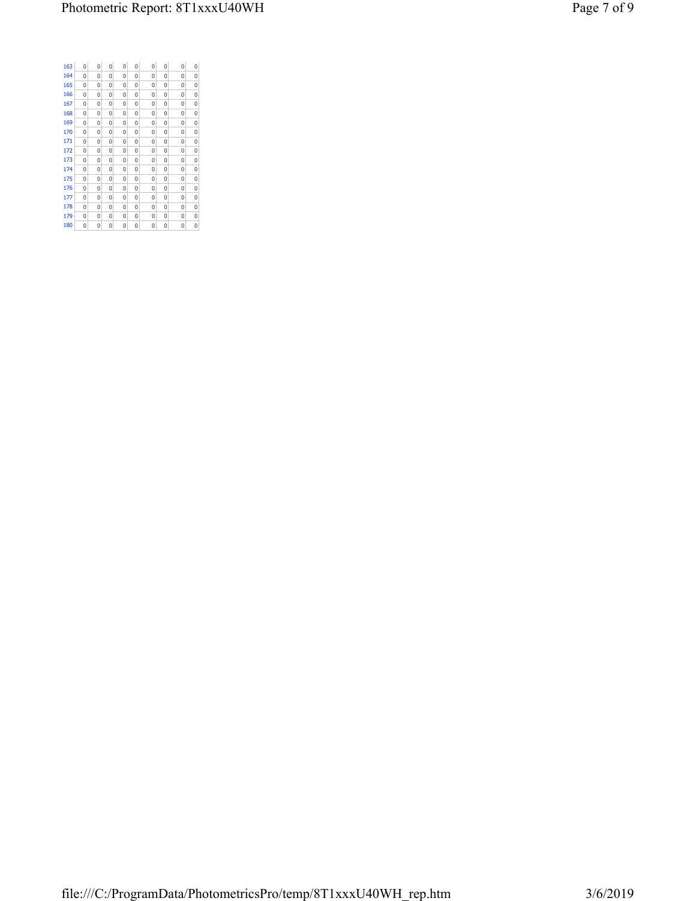| 163 | 0 | 0 | 0 | 0 | $\Omega$ | 0 | 0 | 0 | 0 |  |
|-----|---|---|---|---|----------|---|---|---|---|--|
| 164 | 0 | 0 | 0 | 0 | $\Omega$ | 0 | 0 | 0 | 0 |  |
| 165 | 0 | 0 | 0 | 0 | 0        | 0 | 0 | 0 | 0 |  |
| 166 | 0 | 0 | 0 | 0 | 0        | 0 | 0 | 0 | 0 |  |
| 167 | 0 | 0 | 0 | 0 | 0        | 0 | 0 | 0 | 0 |  |
| 168 | 0 | 0 | 0 | 0 | 0        | 0 | 0 | 0 | 0 |  |
| 169 | 0 | 0 | 0 | 0 | 0        | 0 | 0 | 0 | 0 |  |
| 170 | 0 | 0 | 0 | 0 | 0        | 0 | 0 | 0 | 0 |  |
| 171 | 0 | 0 | 0 | 0 | 0        | 0 | 0 | 0 | 0 |  |
| 172 | 0 | 0 | 0 | 0 | 0        | 0 | 0 | 0 | 0 |  |
| 173 | 0 | 0 | 0 | 0 | 0        | 0 | 0 | 0 | 0 |  |
| 174 | 0 | 0 | 0 | 0 | $\Omega$ | 0 | 0 | 0 | 0 |  |
| 175 | 0 | 0 | 0 | 0 | 0        | 0 | 0 | 0 | 0 |  |
| 176 | 0 | 0 | 0 | 0 | 0        | 0 | 0 | 0 | 0 |  |
| 177 | 0 | 0 | 0 | 0 | 0        | 0 | 0 | 0 | 0 |  |
| 178 | 0 | 0 | 0 | 0 | 0        | 0 | 0 | 0 | 0 |  |
| 179 | 0 | 0 | 0 | 0 | 0        | 0 | 0 | 0 | 0 |  |
| 180 | 0 | 0 | 0 | 0 | 0        | 0 | 0 | 0 | 0 |  |